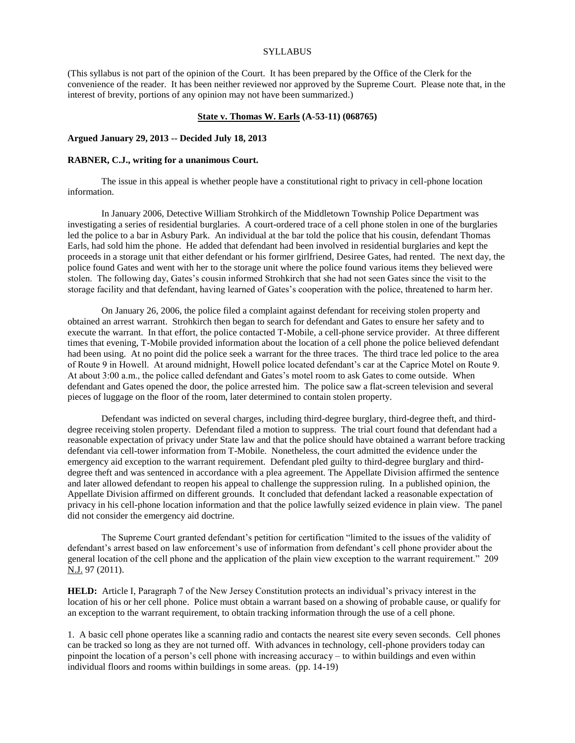#### SYLLABUS

(This syllabus is not part of the opinion of the Court. It has been prepared by the Office of the Clerk for the convenience of the reader. It has been neither reviewed nor approved by the Supreme Court. Please note that, in the interest of brevity, portions of any opinion may not have been summarized.)

#### **State v. Thomas W. Earls (A-53-11) (068765)**

### **Argued January 29, 2013 -- Decided July 18, 2013**

### **RABNER, C.J., writing for a unanimous Court.**

The issue in this appeal is whether people have a constitutional right to privacy in cell-phone location information.

In January 2006, Detective William Strohkirch of the Middletown Township Police Department was investigating a series of residential burglaries. A court-ordered trace of a cell phone stolen in one of the burglaries led the police to a bar in Asbury Park. An individual at the bar told the police that his cousin, defendant Thomas Earls, had sold him the phone. He added that defendant had been involved in residential burglaries and kept the proceeds in a storage unit that either defendant or his former girlfriend, Desiree Gates, had rented. The next day, the police found Gates and went with her to the storage unit where the police found various items they believed were stolen. The following day, Gates's cousin informed Strohkirch that she had not seen Gates since the visit to the storage facility and that defendant, having learned of Gates's cooperation with the police, threatened to harm her.

On January 26, 2006, the police filed a complaint against defendant for receiving stolen property and obtained an arrest warrant. Strohkirch then began to search for defendant and Gates to ensure her safety and to execute the warrant. In that effort, the police contacted T-Mobile, a cell-phone service provider. At three different times that evening, T-Mobile provided information about the location of a cell phone the police believed defendant had been using. At no point did the police seek a warrant for the three traces. The third trace led police to the area of Route 9 in Howell. At around midnight, Howell police located defendant's car at the Caprice Motel on Route 9. At about 3:00 a.m., the police called defendant and Gates's motel room to ask Gates to come outside. When defendant and Gates opened the door, the police arrested him. The police saw a flat-screen television and several pieces of luggage on the floor of the room, later determined to contain stolen property.

Defendant was indicted on several charges, including third-degree burglary, third-degree theft, and thirddegree receiving stolen property. Defendant filed a motion to suppress. The trial court found that defendant had a reasonable expectation of privacy under State law and that the police should have obtained a warrant before tracking defendant via cell-tower information from T-Mobile. Nonetheless, the court admitted the evidence under the emergency aid exception to the warrant requirement. Defendant pled guilty to third-degree burglary and thirddegree theft and was sentenced in accordance with a plea agreement. The Appellate Division affirmed the sentence and later allowed defendant to reopen his appeal to challenge the suppression ruling. In a published opinion, the Appellate Division affirmed on different grounds. It concluded that defendant lacked a reasonable expectation of privacy in his cell-phone location information and that the police lawfully seized evidence in plain view. The panel did not consider the emergency aid doctrine.

The Supreme Court granted defendant's petition for certification "limited to the issues of the validity of defendant's arrest based on law enforcement's use of information from defendant's cell phone provider about the general location of the cell phone and the application of the plain view exception to the warrant requirement." 209 N.J. 97 (2011).

**HELD:** Article I, Paragraph 7 of the New Jersey Constitution protects an individual's privacy interest in the location of his or her cell phone. Police must obtain a warrant based on a showing of probable cause, or qualify for an exception to the warrant requirement, to obtain tracking information through the use of a cell phone.

1. A basic cell phone operates like a scanning radio and contacts the nearest site every seven seconds. Cell phones can be tracked so long as they are not turned off. With advances in technology, cell-phone providers today can pinpoint the location of a person's cell phone with increasing accuracy – to within buildings and even within individual floors and rooms within buildings in some areas. (pp. 14-19)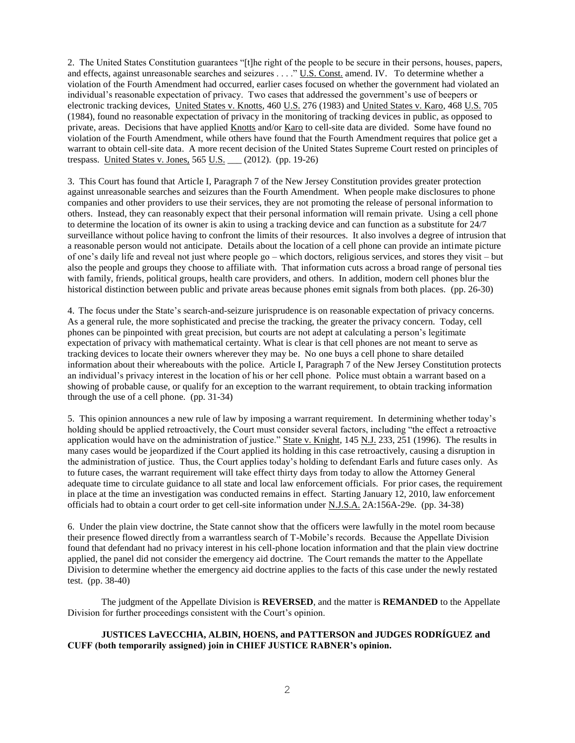2. The United States Constitution guarantees "[t]he right of the people to be secure in their persons, houses, papers, and effects, against unreasonable searches and seizures . . . ." U.S. Const. amend. IV. To determine whether a violation of the Fourth Amendment had occurred, earlier cases focused on whether the government had violated an individual's reasonable expectation of privacy. Two cases that addressed the government's use of beepers or electronic tracking devices, United States v. Knotts, 460 U.S. 276 (1983) and United States v. Karo, 468 U.S. 705 (1984), found no reasonable expectation of privacy in the monitoring of tracking devices in public, as opposed to private, areas. Decisions that have applied Knotts and/or Karo to cell-site data are divided. Some have found no violation of the Fourth Amendment, while others have found that the Fourth Amendment requires that police get a warrant to obtain cell-site data. A more recent decision of the United States Supreme Court rested on principles of trespass. United States v. Jones, 565 U.S. \_\_\_ (2012). (pp. 19-26)

3. This Court has found that Article I, Paragraph 7 of the New Jersey Constitution provides greater protection against unreasonable searches and seizures than the Fourth Amendment. When people make disclosures to phone companies and other providers to use their services, they are not promoting the release of personal information to others. Instead, they can reasonably expect that their personal information will remain private. Using a cell phone to determine the location of its owner is akin to using a tracking device and can function as a substitute for 24/7 surveillance without police having to confront the limits of their resources. It also involves a degree of intrusion that a reasonable person would not anticipate. Details about the location of a cell phone can provide an intimate picture of one's daily life and reveal not just where people go – which doctors, religious services, and stores they visit – but also the people and groups they choose to affiliate with. That information cuts across a broad range of personal ties with family, friends, political groups, health care providers, and others. In addition, modern cell phones blur the historical distinction between public and private areas because phones emit signals from both places. (pp. 26-30)

4. The focus under the State's search-and-seizure jurisprudence is on reasonable expectation of privacy concerns. As a general rule, the more sophisticated and precise the tracking, the greater the privacy concern. Today, cell phones can be pinpointed with great precision, but courts are not adept at calculating a person's legitimate expectation of privacy with mathematical certainty. What is clear is that cell phones are not meant to serve as tracking devices to locate their owners wherever they may be. No one buys a cell phone to share detailed information about their whereabouts with the police. Article I, Paragraph 7 of the New Jersey Constitution protects an individual's privacy interest in the location of his or her cell phone. Police must obtain a warrant based on a showing of probable cause, or qualify for an exception to the warrant requirement, to obtain tracking information through the use of a cell phone. (pp. 31-34)

5. This opinion announces a new rule of law by imposing a warrant requirement. In determining whether today's holding should be applied retroactively, the Court must consider several factors, including "the effect a retroactive application would have on the administration of justice." State v. Knight, 145 N.J. 233, 251 (1996). The results in many cases would be jeopardized if the Court applied its holding in this case retroactively, causing a disruption in the administration of justice. Thus, the Court applies today's holding to defendant Earls and future cases only. As to future cases, the warrant requirement will take effect thirty days from today to allow the Attorney General adequate time to circulate guidance to all state and local law enforcement officials. For prior cases, the requirement in place at the time an investigation was conducted remains in effect. Starting January 12, 2010, law enforcement officials had to obtain a court order to get cell-site information under N.J.S.A. 2A:156A-29e. (pp. 34-38)

6. Under the plain view doctrine, the State cannot show that the officers were lawfully in the motel room because their presence flowed directly from a warrantless search of T-Mobile's records. Because the Appellate Division found that defendant had no privacy interest in his cell-phone location information and that the plain view doctrine applied, the panel did not consider the emergency aid doctrine. The Court remands the matter to the Appellate Division to determine whether the emergency aid doctrine applies to the facts of this case under the newly restated test. (pp. 38-40)

The judgment of the Appellate Division is **REVERSED**, and the matter is **REMANDED** to the Appellate Division for further proceedings consistent with the Court's opinion.

# **JUSTICES LaVECCHIA, ALBIN, HOENS, and PATTERSON and JUDGES RODRÍGUEZ and CUFF (both temporarily assigned) join in CHIEF JUSTICE RABNER's opinion.**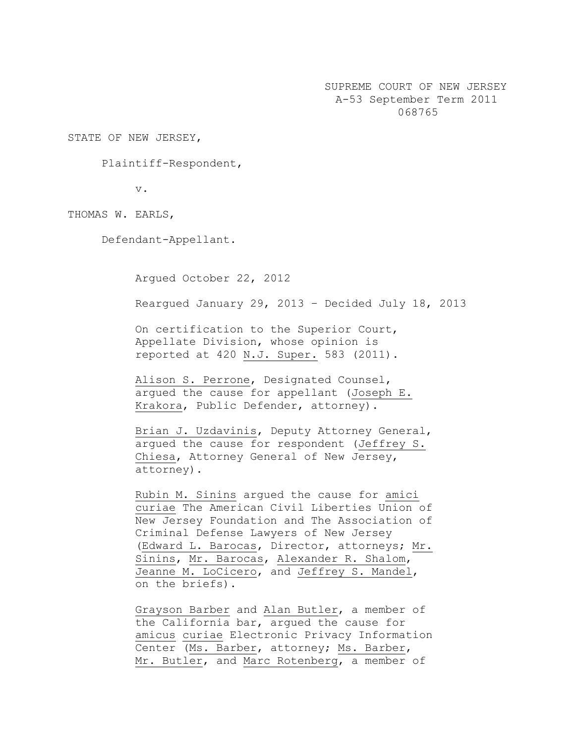SUPREME COURT OF NEW JERSEY A-53 September Term 2011 068765

STATE OF NEW JERSEY,

Plaintiff-Respondent,

v.

THOMAS W. EARLS,

Defendant-Appellant.

Argued October 22, 2012

Reargued January 29, 2013 – Decided July 18, 2013

On certification to the Superior Court, Appellate Division, whose opinion is reported at 420 N.J. Super. 583 (2011).

Alison S. Perrone, Designated Counsel, argued the cause for appellant (Joseph E. Krakora, Public Defender, attorney).

Brian J. Uzdavinis, Deputy Attorney General, argued the cause for respondent (Jeffrey S. Chiesa, Attorney General of New Jersey, attorney).

Rubin M. Sinins argued the cause for amici curiae The American Civil Liberties Union of New Jersey Foundation and The Association of Criminal Defense Lawyers of New Jersey (Edward L. Barocas, Director, attorneys; Mr. Sinins, Mr. Barocas, Alexander R. Shalom, Jeanne M. LoCicero, and Jeffrey S. Mandel, on the briefs).

Grayson Barber and Alan Butler, a member of the California bar, argued the cause for amicus curiae Electronic Privacy Information Center (Ms. Barber, attorney; Ms. Barber, Mr. Butler, and Marc Rotenberg, a member of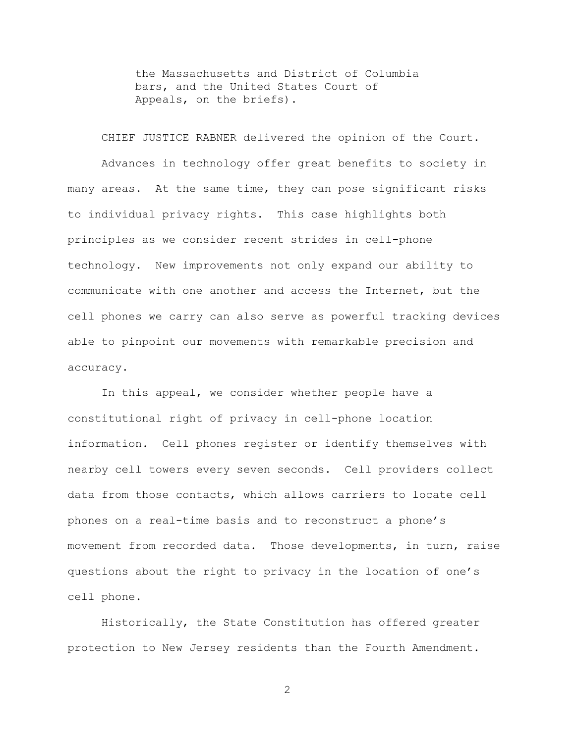the Massachusetts and District of Columbia bars, and the United States Court of Appeals, on the briefs).

CHIEF JUSTICE RABNER delivered the opinion of the Court. Advances in technology offer great benefits to society in many areas. At the same time, they can pose significant risks to individual privacy rights. This case highlights both principles as we consider recent strides in cell-phone technology. New improvements not only expand our ability to communicate with one another and access the Internet, but the cell phones we carry can also serve as powerful tracking devices able to pinpoint our movements with remarkable precision and accuracy.

In this appeal, we consider whether people have a constitutional right of privacy in cell-phone location information. Cell phones register or identify themselves with nearby cell towers every seven seconds. Cell providers collect data from those contacts, which allows carriers to locate cell phones on a real-time basis and to reconstruct a phone's movement from recorded data. Those developments, in turn, raise questions about the right to privacy in the location of one's cell phone.

Historically, the State Constitution has offered greater protection to New Jersey residents than the Fourth Amendment.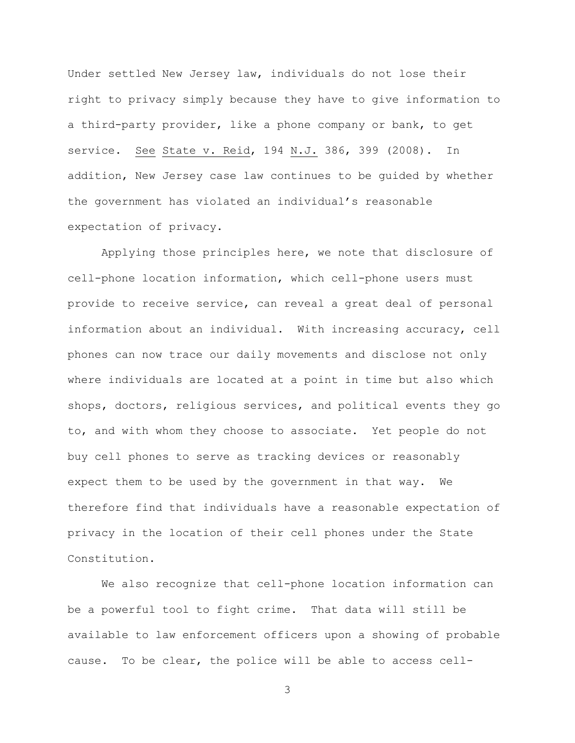Under settled New Jersey law, individuals do not lose their right to privacy simply because they have to give information to a third-party provider, like a phone company or bank, to get service. See State v. Reid, 194 N.J. 386, 399 (2008). In addition, New Jersey case law continues to be guided by whether the government has violated an individual's reasonable expectation of privacy.

Applying those principles here, we note that disclosure of cell-phone location information, which cell-phone users must provide to receive service, can reveal a great deal of personal information about an individual. With increasing accuracy, cell phones can now trace our daily movements and disclose not only where individuals are located at a point in time but also which shops, doctors, religious services, and political events they go to, and with whom they choose to associate. Yet people do not buy cell phones to serve as tracking devices or reasonably expect them to be used by the government in that way. We therefore find that individuals have a reasonable expectation of privacy in the location of their cell phones under the State Constitution.

We also recognize that cell-phone location information can be a powerful tool to fight crime. That data will still be available to law enforcement officers upon a showing of probable cause. To be clear, the police will be able to access cell-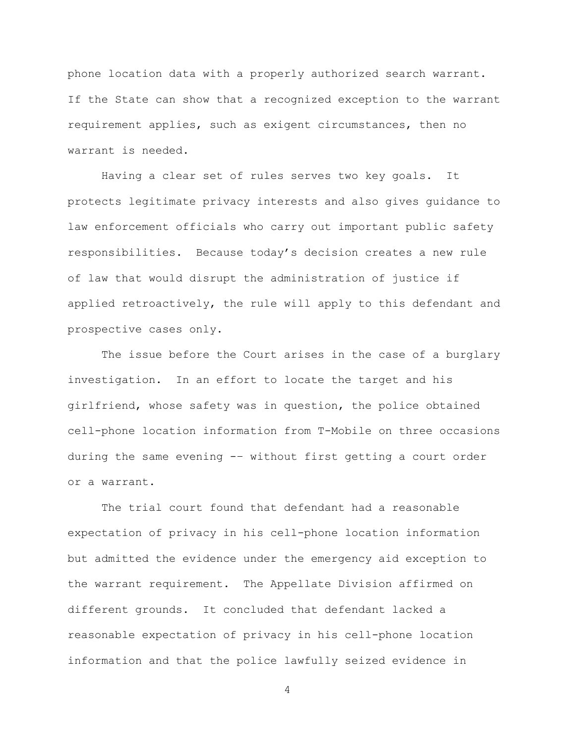phone location data with a properly authorized search warrant. If the State can show that a recognized exception to the warrant requirement applies, such as exigent circumstances, then no warrant is needed.

Having a clear set of rules serves two key goals. It protects legitimate privacy interests and also gives guidance to law enforcement officials who carry out important public safety responsibilities. Because today's decision creates a new rule of law that would disrupt the administration of justice if applied retroactively, the rule will apply to this defendant and prospective cases only.

The issue before the Court arises in the case of a burglary investigation. In an effort to locate the target and his girlfriend, whose safety was in question, the police obtained cell-phone location information from T-Mobile on three occasions during the same evening -– without first getting a court order or a warrant.

The trial court found that defendant had a reasonable expectation of privacy in his cell-phone location information but admitted the evidence under the emergency aid exception to the warrant requirement. The Appellate Division affirmed on different grounds. It concluded that defendant lacked a reasonable expectation of privacy in his cell-phone location information and that the police lawfully seized evidence in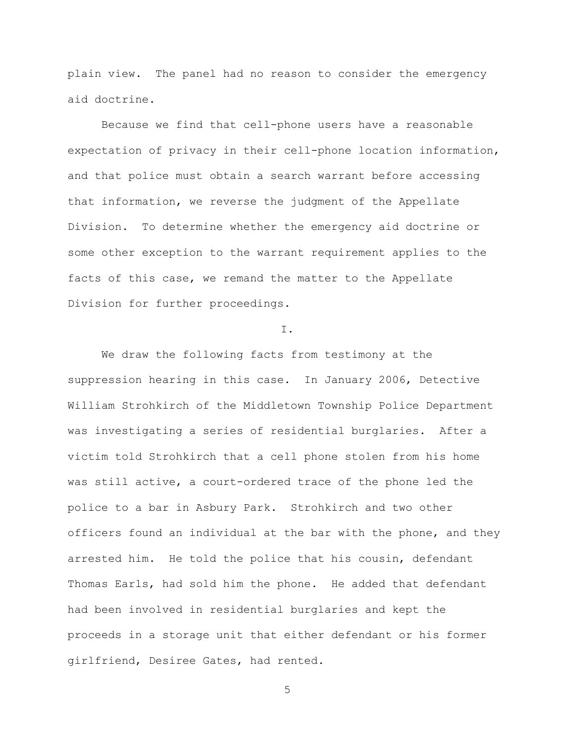plain view. The panel had no reason to consider the emergency aid doctrine.

Because we find that cell-phone users have a reasonable expectation of privacy in their cell-phone location information, and that police must obtain a search warrant before accessing that information, we reverse the judgment of the Appellate Division. To determine whether the emergency aid doctrine or some other exception to the warrant requirement applies to the facts of this case, we remand the matter to the Appellate Division for further proceedings.

I.

We draw the following facts from testimony at the suppression hearing in this case. In January 2006, Detective William Strohkirch of the Middletown Township Police Department was investigating a series of residential burglaries. After a victim told Strohkirch that a cell phone stolen from his home was still active, a court-ordered trace of the phone led the police to a bar in Asbury Park. Strohkirch and two other officers found an individual at the bar with the phone, and they arrested him. He told the police that his cousin, defendant Thomas Earls, had sold him the phone. He added that defendant had been involved in residential burglaries and kept the proceeds in a storage unit that either defendant or his former girlfriend, Desiree Gates, had rented.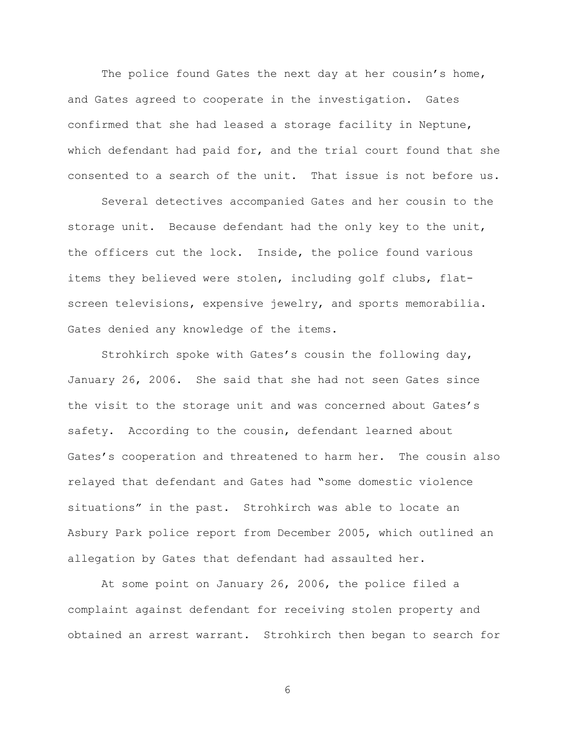The police found Gates the next day at her cousin's home, and Gates agreed to cooperate in the investigation. Gates confirmed that she had leased a storage facility in Neptune, which defendant had paid for, and the trial court found that she consented to a search of the unit. That issue is not before us.

Several detectives accompanied Gates and her cousin to the storage unit. Because defendant had the only key to the unit, the officers cut the lock. Inside, the police found various items they believed were stolen, including golf clubs, flatscreen televisions, expensive jewelry, and sports memorabilia. Gates denied any knowledge of the items.

Strohkirch spoke with Gates's cousin the following day, January 26, 2006. She said that she had not seen Gates since the visit to the storage unit and was concerned about Gates's safety. According to the cousin, defendant learned about Gates's cooperation and threatened to harm her. The cousin also relayed that defendant and Gates had "some domestic violence situations" in the past. Strohkirch was able to locate an Asbury Park police report from December 2005, which outlined an allegation by Gates that defendant had assaulted her.

At some point on January 26, 2006, the police filed a complaint against defendant for receiving stolen property and obtained an arrest warrant. Strohkirch then began to search for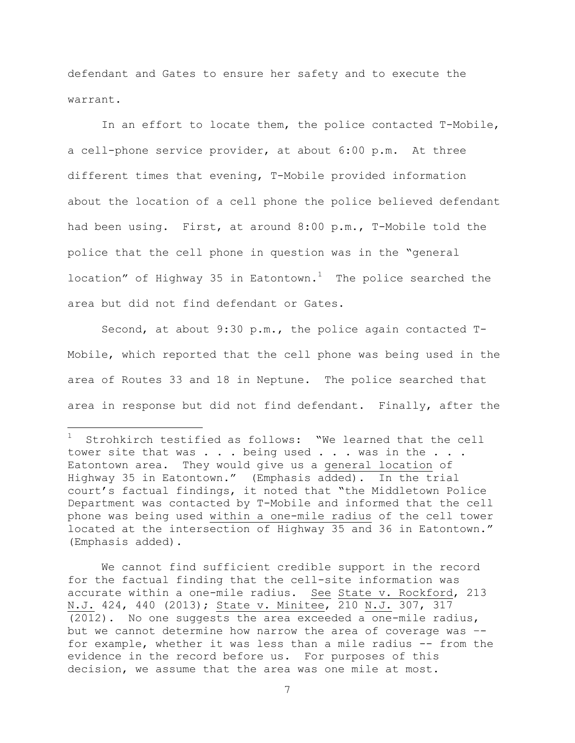defendant and Gates to ensure her safety and to execute the warrant.

In an effort to locate them, the police contacted T-Mobile, a cell-phone service provider, at about 6:00 p.m. At three different times that evening, T-Mobile provided information about the location of a cell phone the police believed defendant had been using. First, at around 8:00 p.m., T-Mobile told the police that the cell phone in question was in the "general location" of Highway 35 in Eatontown.<sup>1</sup> The police searched the area but did not find defendant or Gates.

Second, at about 9:30 p.m., the police again contacted T-Mobile, which reported that the cell phone was being used in the area of Routes 33 and 18 in Neptune. The police searched that area in response but did not find defendant. Finally, after the

 $\overline{a}$ 

Strohkirch testified as follows: "We learned that the cell tower site that was . . . being used . . . was in the . . . Eatontown area. They would give us a general location of Highway 35 in Eatontown." (Emphasis added). In the trial court's factual findings, it noted that "the Middletown Police Department was contacted by T-Mobile and informed that the cell phone was being used within a one-mile radius of the cell tower located at the intersection of Highway 35 and 36 in Eatontown." (Emphasis added).

We cannot find sufficient credible support in the record for the factual finding that the cell-site information was accurate within a one-mile radius. See State v. Rockford, 213 N.J. 424, 440 (2013); State v. Minitee, 210 N.J. 307, 317 (2012). No one suggests the area exceeded a one-mile radius, but we cannot determine how narrow the area of coverage was – for example, whether it was less than a mile radius -- from the evidence in the record before us. For purposes of this decision, we assume that the area was one mile at most.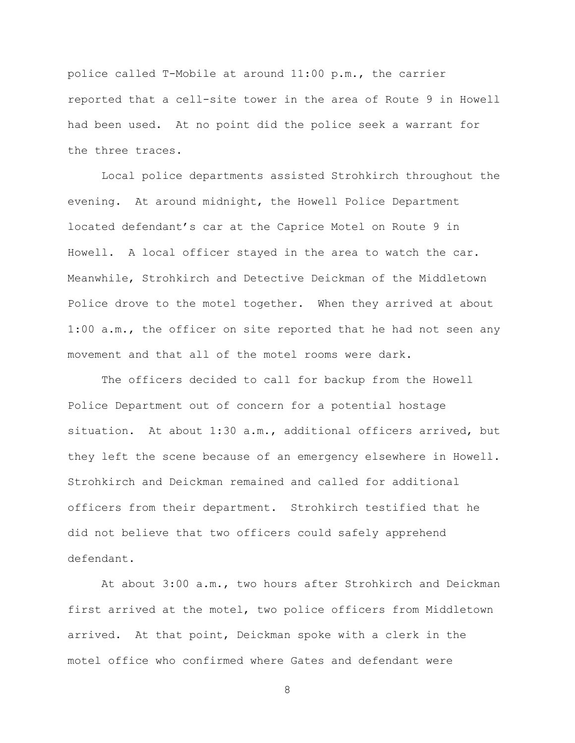police called T-Mobile at around 11:00 p.m., the carrier reported that a cell-site tower in the area of Route 9 in Howell had been used. At no point did the police seek a warrant for the three traces.

Local police departments assisted Strohkirch throughout the evening. At around midnight, the Howell Police Department located defendant's car at the Caprice Motel on Route 9 in Howell. A local officer stayed in the area to watch the car. Meanwhile, Strohkirch and Detective Deickman of the Middletown Police drove to the motel together. When they arrived at about 1:00 a.m., the officer on site reported that he had not seen any movement and that all of the motel rooms were dark.

The officers decided to call for backup from the Howell Police Department out of concern for a potential hostage situation. At about 1:30 a.m., additional officers arrived, but they left the scene because of an emergency elsewhere in Howell. Strohkirch and Deickman remained and called for additional officers from their department. Strohkirch testified that he did not believe that two officers could safely apprehend defendant.

At about 3:00 a.m., two hours after Strohkirch and Deickman first arrived at the motel, two police officers from Middletown arrived. At that point, Deickman spoke with a clerk in the motel office who confirmed where Gates and defendant were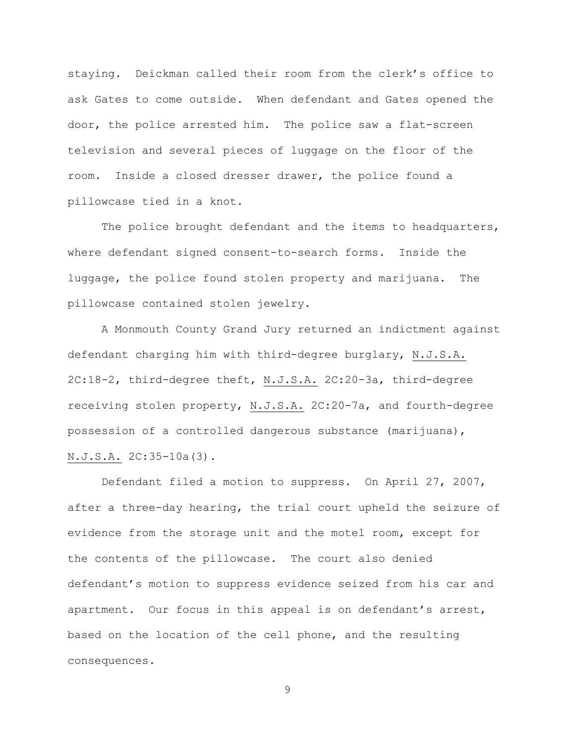staying. Deickman called their room from the clerk's office to ask Gates to come outside. When defendant and Gates opened the door, the police arrested him. The police saw a flat-screen television and several pieces of luggage on the floor of the room. Inside a closed dresser drawer, the police found a pillowcase tied in a knot.

The police brought defendant and the items to headquarters, where defendant signed consent-to-search forms. Inside the luggage, the police found stolen property and marijuana. The pillowcase contained stolen jewelry.

A Monmouth County Grand Jury returned an indictment against defendant charging him with third-degree burglary, N.J.S.A. 2C:18-2, third-degree theft, N.J.S.A. 2C:20-3a, third-degree receiving stolen property, N.J.S.A. 2C:20-7a, and fourth-degree possession of a controlled dangerous substance (marijuana), N.J.S.A. 2C:35-10a(3).

Defendant filed a motion to suppress. On April 27, 2007, after a three-day hearing, the trial court upheld the seizure of evidence from the storage unit and the motel room, except for the contents of the pillowcase. The court also denied defendant's motion to suppress evidence seized from his car and apartment. Our focus in this appeal is on defendant's arrest, based on the location of the cell phone, and the resulting consequences.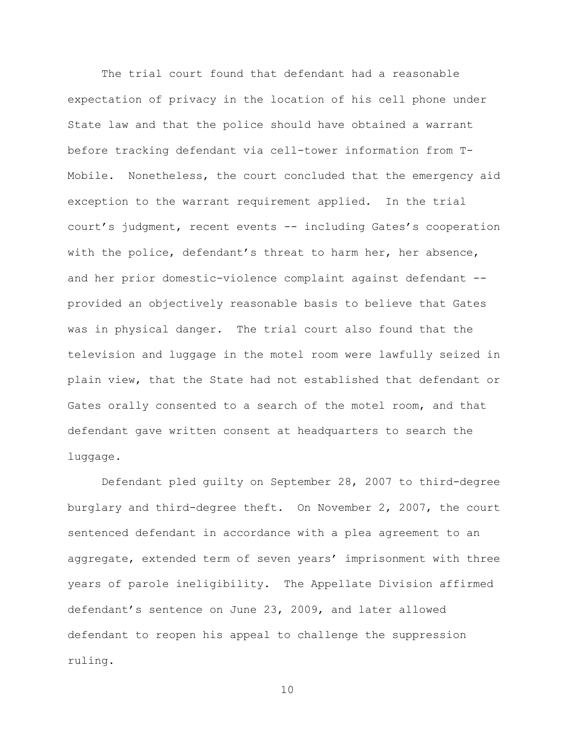The trial court found that defendant had a reasonable expectation of privacy in the location of his cell phone under State law and that the police should have obtained a warrant before tracking defendant via cell-tower information from T-Mobile. Nonetheless, the court concluded that the emergency aid exception to the warrant requirement applied. In the trial court's judgment, recent events -- including Gates's cooperation with the police, defendant's threat to harm her, her absence, and her prior domestic-violence complaint against defendant - provided an objectively reasonable basis to believe that Gates was in physical danger. The trial court also found that the television and luggage in the motel room were lawfully seized in plain view, that the State had not established that defendant or Gates orally consented to a search of the motel room, and that defendant gave written consent at headquarters to search the luggage.

Defendant pled guilty on September 28, 2007 to third-degree burglary and third-degree theft. On November 2, 2007, the court sentenced defendant in accordance with a plea agreement to an aggregate, extended term of seven years' imprisonment with three years of parole ineligibility. The Appellate Division affirmed defendant's sentence on June 23, 2009, and later allowed defendant to reopen his appeal to challenge the suppression ruling.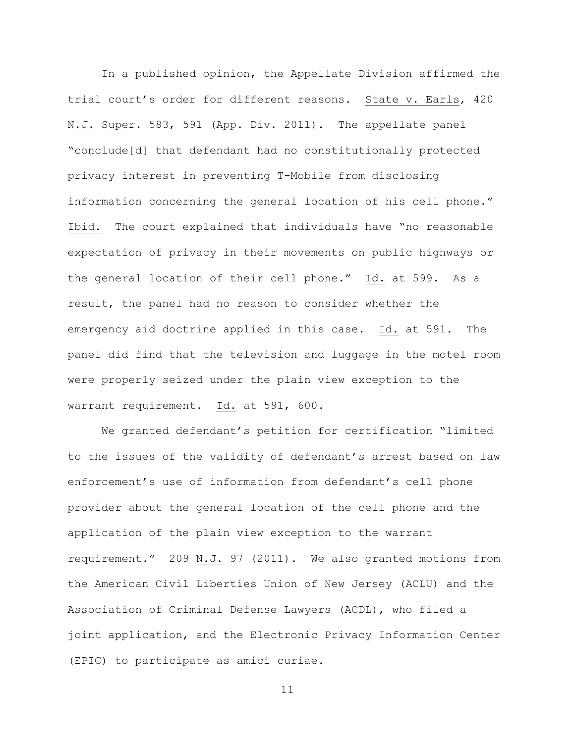In a published opinion, the Appellate Division affirmed the trial court's order for different reasons. State v. Earls, 420 N.J. Super. 583, 591 (App. Div. 2011). The appellate panel "conclude[d] that defendant had no constitutionally protected privacy interest in preventing T-Mobile from disclosing information concerning the general location of his cell phone." Ibid. The court explained that individuals have "no reasonable expectation of privacy in their movements on public highways or the general location of their cell phone." Id. at 599. As a result, the panel had no reason to consider whether the emergency aid doctrine applied in this case. Id. at 591. The panel did find that the television and luggage in the motel room were properly seized under the plain view exception to the warrant requirement. Id. at 591, 600.

We granted defendant's petition for certification "limited to the issues of the validity of defendant's arrest based on law enforcement's use of information from defendant's cell phone provider about the general location of the cell phone and the application of the plain view exception to the warrant requirement." 209 N.J. 97 (2011). We also granted motions from the American Civil Liberties Union of New Jersey (ACLU) and the Association of Criminal Defense Lawyers (ACDL), who filed a joint application, and the Electronic Privacy Information Center (EPIC) to participate as amici curiae.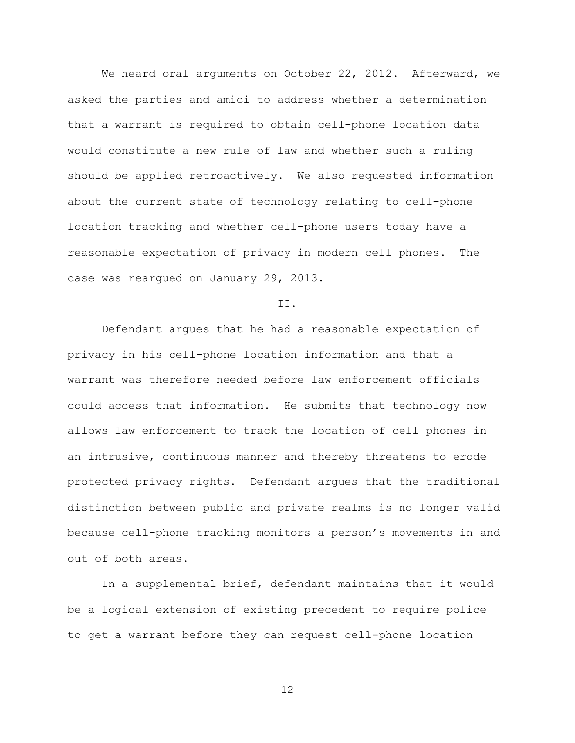We heard oral arguments on October 22, 2012. Afterward, we asked the parties and amici to address whether a determination that a warrant is required to obtain cell-phone location data would constitute a new rule of law and whether such a ruling should be applied retroactively. We also requested information about the current state of technology relating to cell-phone location tracking and whether cell-phone users today have a reasonable expectation of privacy in modern cell phones. The case was reargued on January 29, 2013.

II.

Defendant argues that he had a reasonable expectation of privacy in his cell-phone location information and that a warrant was therefore needed before law enforcement officials could access that information. He submits that technology now allows law enforcement to track the location of cell phones in an intrusive, continuous manner and thereby threatens to erode protected privacy rights. Defendant argues that the traditional distinction between public and private realms is no longer valid because cell-phone tracking monitors a person's movements in and out of both areas.

In a supplemental brief, defendant maintains that it would be a logical extension of existing precedent to require police to get a warrant before they can request cell-phone location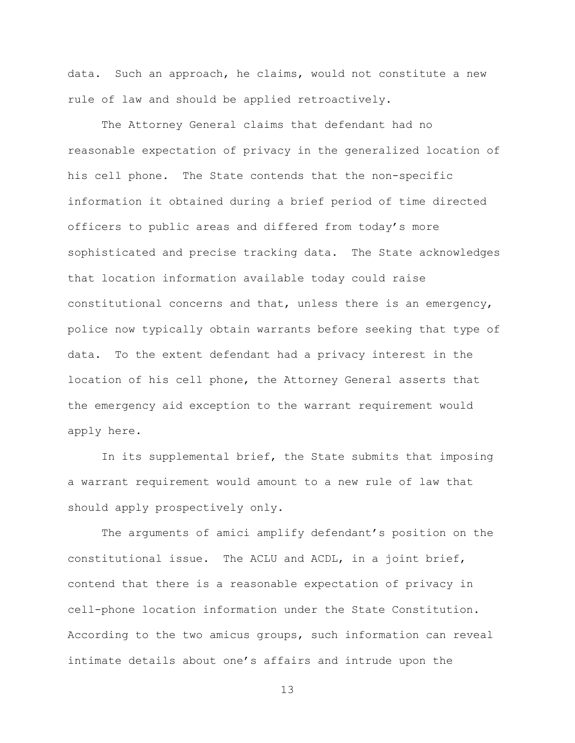data. Such an approach, he claims, would not constitute a new rule of law and should be applied retroactively.

The Attorney General claims that defendant had no reasonable expectation of privacy in the generalized location of his cell phone. The State contends that the non-specific information it obtained during a brief period of time directed officers to public areas and differed from today's more sophisticated and precise tracking data. The State acknowledges that location information available today could raise constitutional concerns and that, unless there is an emergency, police now typically obtain warrants before seeking that type of data. To the extent defendant had a privacy interest in the location of his cell phone, the Attorney General asserts that the emergency aid exception to the warrant requirement would apply here.

In its supplemental brief, the State submits that imposing a warrant requirement would amount to a new rule of law that should apply prospectively only.

The arguments of amici amplify defendant's position on the constitutional issue. The ACLU and ACDL, in a joint brief, contend that there is a reasonable expectation of privacy in cell-phone location information under the State Constitution. According to the two amicus groups, such information can reveal intimate details about one's affairs and intrude upon the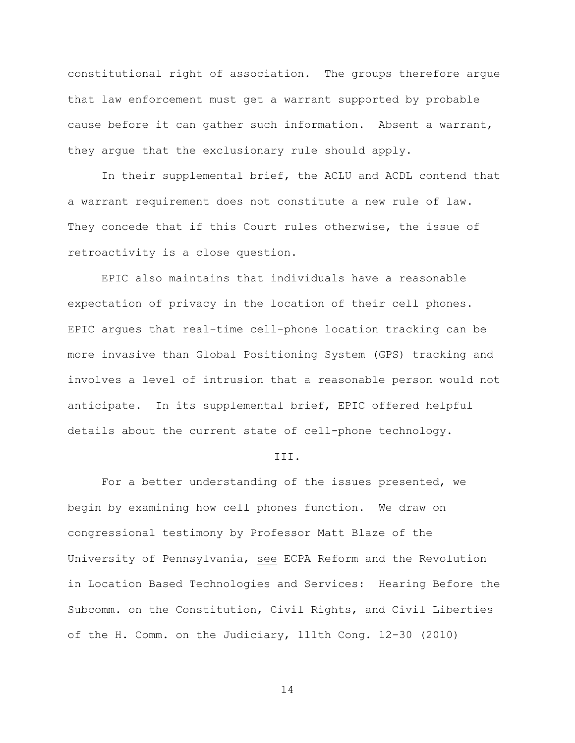constitutional right of association. The groups therefore argue that law enforcement must get a warrant supported by probable cause before it can gather such information. Absent a warrant, they argue that the exclusionary rule should apply.

In their supplemental brief, the ACLU and ACDL contend that a warrant requirement does not constitute a new rule of law. They concede that if this Court rules otherwise, the issue of retroactivity is a close question.

EPIC also maintains that individuals have a reasonable expectation of privacy in the location of their cell phones. EPIC argues that real-time cell-phone location tracking can be more invasive than Global Positioning System (GPS) tracking and involves a level of intrusion that a reasonable person would not anticipate.In its supplemental brief, EPIC offered helpful details about the current state of cell-phone technology.

# III.

For a better understanding of the issues presented, we begin by examining how cell phones function. We draw on congressional testimony by Professor Matt Blaze of the University of Pennsylvania, see ECPA Reform and the Revolution in Location Based Technologies and Services: Hearing Before the Subcomm. on the Constitution, Civil Rights, and Civil Liberties of the H. Comm. on the Judiciary, 111th Cong. 12-30 (2010)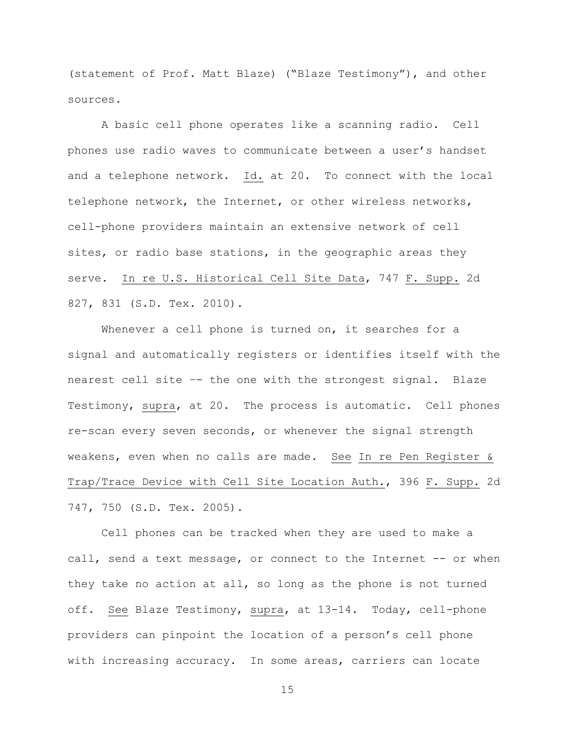(statement of Prof. Matt Blaze) ("Blaze Testimony"), and other sources.

A basic cell phone operates like a scanning radio. Cell phones use radio waves to communicate between a user's handset and a telephone network. Id. at 20. To connect with the local telephone network, the Internet, or other wireless networks, cell-phone providers maintain an extensive network of cell sites, or radio base stations, in the geographic areas they serve. In re U.S. Historical Cell Site Data, 747 F. Supp. 2d 827, 831 (S.D. Tex. 2010).

Whenever a cell phone is turned on, it searches for a signal and automatically registers or identifies itself with the nearest cell site –- the one with the strongest signal. Blaze Testimony, supra, at 20. The process is automatic. Cell phones re-scan every seven seconds, or whenever the signal strength weakens, even when no calls are made. See In re Pen Register & Trap/Trace Device with Cell Site Location Auth., 396 F. Supp. 2d 747, 750 (S.D. Tex. 2005).

Cell phones can be tracked when they are used to make a call, send a text message, or connect to the Internet -- or when they take no action at all, so long as the phone is not turned off. See Blaze Testimony, supra, at 13-14. Today, cell-phone providers can pinpoint the location of a person's cell phone with increasing accuracy. In some areas, carriers can locate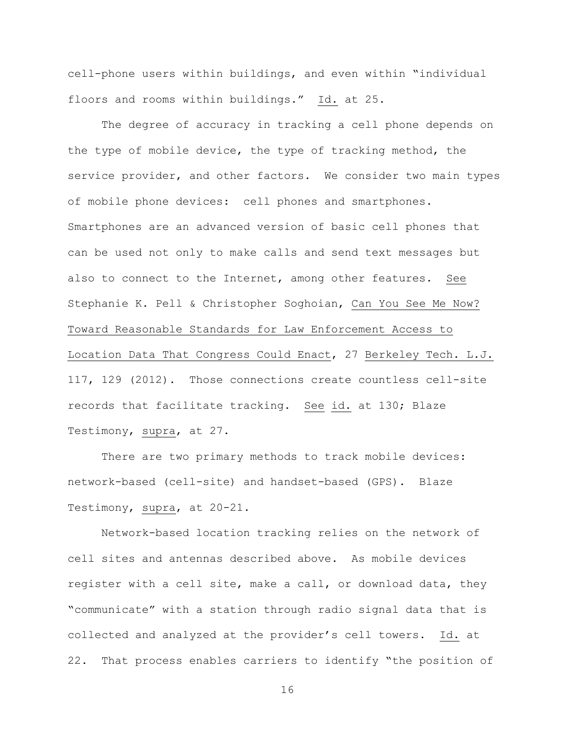cell-phone users within buildings, and even within "individual floors and rooms within buildings." Id. at 25.

The degree of accuracy in tracking a cell phone depends on the type of mobile device, the type of tracking method, the service provider, and other factors. We consider two main types of mobile phone devices: cell phones and smartphones. Smartphones are an advanced version of basic cell phones that can be used not only to make calls and send text messages but also to connect to the Internet, among other features. See Stephanie K. Pell & Christopher Soghoian, Can You See Me Now? Toward Reasonable Standards for Law Enforcement Access to Location Data That Congress Could Enact, 27 Berkeley Tech. L.J. 117, 129 (2012). Those connections create countless cell-site records that facilitate tracking. See id. at 130; Blaze Testimony, supra, at 27.

There are two primary methods to track mobile devices: network-based (cell-site) and handset-based (GPS). Blaze Testimony, supra, at 20-21.

Network-based location tracking relies on the network of cell sites and antennas described above. As mobile devices register with a cell site, make a call, or download data, they "communicate" with a station through radio signal data that is collected and analyzed at the provider's cell towers. Id. at 22. That process enables carriers to identify "the position of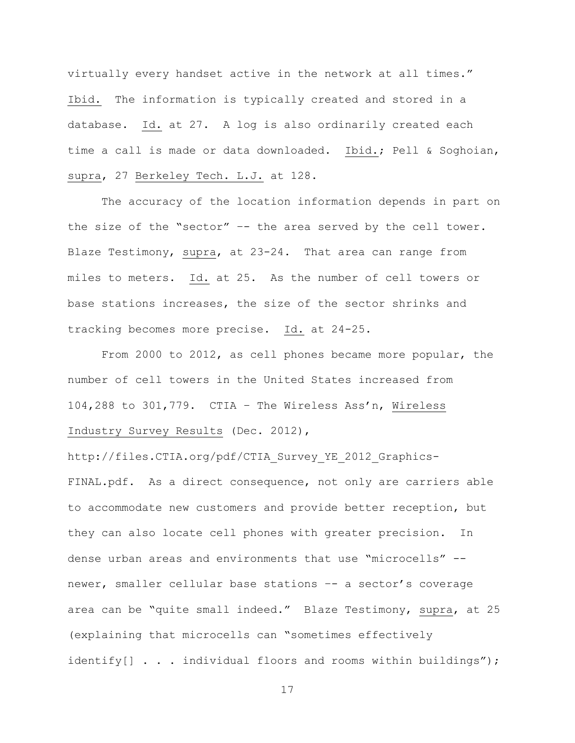virtually every handset active in the network at all times." Ibid.The information is typically created and stored in a database. Id. at 27. A log is also ordinarily created each time a call is made or data downloaded. Ibid.; Pell & Soghoian, supra, 27 Berkeley Tech. L.J. at 128.

The accuracy of the location information depends in part on the size of the "sector" -- the area served by the cell tower. Blaze Testimony, supra, at 23-24**.** That area can range from miles to meters. Id. at 25**.** As the number of cell towers or base stations increases, the size of the sector shrinks and tracking becomes more precise. Id. at 24-25.

From 2000 to 2012, as cell phones became more popular, the number of cell towers in the United States increased from 104,288 to 301,779. CTIA – The Wireless Ass'n, Wireless Industry Survey Results (Dec. 2012),

http://files.CTIA.org/pdf/CTIA\_Survey\_YE\_2012\_Graphics-FINAL.pdf. As a direct consequence, not only are carriers able to accommodate new customers and provide better reception, but they can also locate cell phones with greater precision. In dense urban areas and environments that use "microcells" - newer, smaller cellular base stations –- a sector's coverage area can be "quite small indeed." Blaze Testimony, supra, at 25 (explaining that microcells can "sometimes effectively identify[] . . . individual floors and rooms within buildings");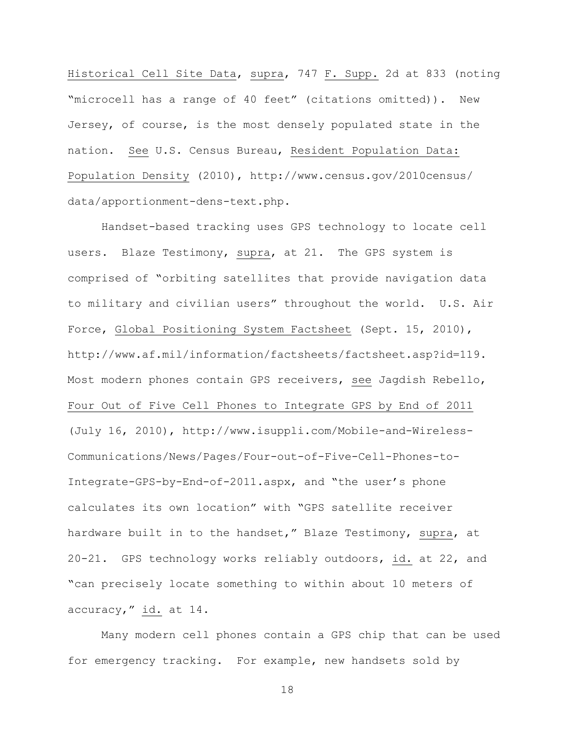Historical Cell Site Data, supra, 747 F. Supp. 2d at 833 (noting "microcell has a range of 40 feet" (citations omitted)). New Jersey, of course, is the most densely populated state in the nation. See U.S. Census Bureau, Resident Population Data: Population Density (2010), [http://www.census.gov/2010census/](http://www.census.gov/2010census/%20data/apportionment-dens-text.php)  [data/apportionment-dens-text.php.](http://www.census.gov/2010census/%20data/apportionment-dens-text.php)

Handset-based tracking uses GPS technology to locate cell users. Blaze Testimony, supra, at 21. The GPS system is comprised of "orbiting satellites that provide navigation data to military and civilian users" throughout the world. U.S. Air Force, Global Positioning System Factsheet (Sept. 15, 2010), [http://www.af.mil/information/factsheets/factsheet.asp?id=119.](http://www.af.mil/information/factsheets/factsheet.asp?id=119) Most modern phones contain GPS receivers, see Jagdish Rebello, Four Out of Five Cell Phones to Integrate GPS by End of 2011 (July 16, 2010), [http://www.isuppli.com/Mobile-and-Wireless-](http://www.isuppli.com/Mobile-and-Wireless-Communications/News/Pages/Four-out-of-Five-Cell-Phones-to-Integrate-GPS-by-End-of-2011.aspx)[Communications/News/Pages/Four-out-of-Five-Cell-Phones-to-](http://www.isuppli.com/Mobile-and-Wireless-Communications/News/Pages/Four-out-of-Five-Cell-Phones-to-Integrate-GPS-by-End-of-2011.aspx)[Integrate-GPS-by-End-of-2011.aspx,](http://www.isuppli.com/Mobile-and-Wireless-Communications/News/Pages/Four-out-of-Five-Cell-Phones-to-Integrate-GPS-by-End-of-2011.aspx) and "the user's phone calculates its own location" with "GPS satellite receiver hardware built in to the handset," Blaze Testimony, supra, at 20-21.GPS technology works reliably outdoors, id. at 22, and "can precisely locate something to within about 10 meters of accuracy," id. at 14.

Many modern cell phones contain a GPS chip that can be used for emergency tracking. For example, new handsets sold by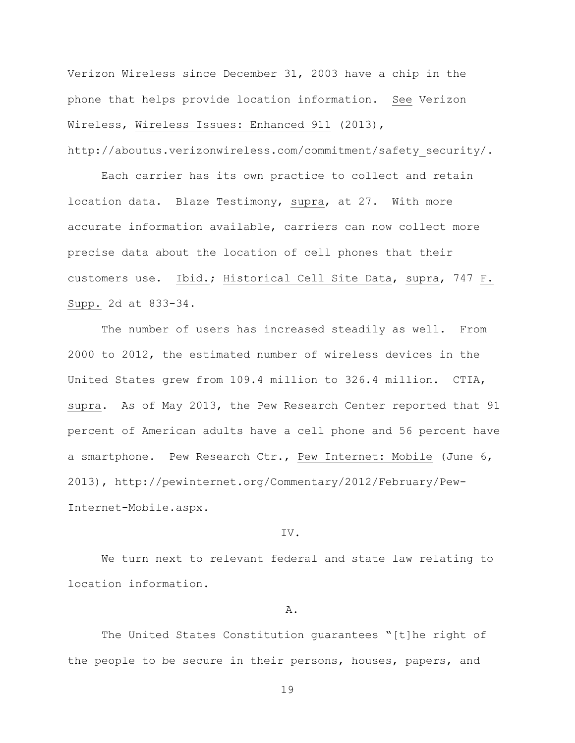Verizon Wireless since December 31, 2003 have a chip in the phone that helps provide location information. See Verizon Wireless, Wireless Issues: Enhanced 911 (2013), [http://aboutus.verizonwireless.com/commitment/safety\\_security/.](http://aboutus.verizonwireless.com/commitment/safety_security/)

Each carrier has its own practice to collect and retain location data. Blaze Testimony, supra, at 27.With more accurate information available, carriers can now collect more precise data about the location of cell phones that their customers use. Ibid.; Historical Cell Site Data, supra, 747 F. Supp. 2d at 833-34.

The number of users has increased steadily as well. From 2000 to 2012, the estimated number of wireless devices in the United States grew from 109.4 million to 326.4 million. CTIA, supra.As of May 2013, the Pew Research Center reported that 91 percent of American adults have a cell phone and 56 percent have a smartphone. Pew Research Ctr., Pew Internet: Mobile (June 6, 2013), http://pewinternet.org/Commentary/2012/February/Pew-Internet-Mobile.aspx.

## IV.

We turn next to relevant federal and state law relating to location information.

# A.

The United States Constitution guarantees "[t]he right of the people to be secure in their persons, houses, papers, and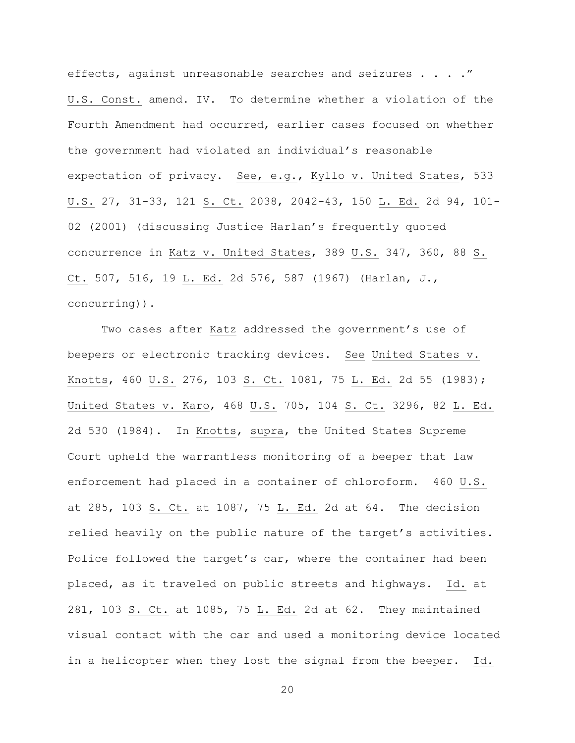effects, against unreasonable searches and seizures . . . ." U.S. Const. amend. IV. To determine whether a violation of the Fourth Amendment had occurred, earlier cases focused on whether the government had violated an individual's reasonable expectation of privacy. See, e.g., Kyllo v. United States, 533 U.S. 27, 31-33, 121 S. Ct. 2038, 2042-43, 150 L. Ed. 2d 94, 101- 02 (2001) (discussing Justice Harlan's frequently quoted concurrence in Katz v. United States, 389 U.S. 347, 360, 88 S. Ct. 507, 516, 19 L. Ed. 2d 576, 587 (1967) (Harlan, J., concurring)).

Two cases after Katz addressed the government's use of beepers or electronic tracking devices. See United States v. Knotts, 460 U.S. 276, 103 S. Ct. 1081, 75 L. Ed. 2d 55 (1983); United States v. Karo, 468 U.S. 705, 104 S. Ct. 3296, 82 L. Ed. 2d 530 (1984). In Knotts, supra, the United States Supreme Court upheld the warrantless monitoring of a beeper that law enforcement had placed in a container of chloroform. 460 U.S. at 285, 103 S. Ct. at 1087, 75 L. Ed. 2d at 64. The decision relied heavily on the public nature of the target's activities. Police followed the target's car, where the container had been placed, as it traveled on public streets and highways. Id. at 281, 103 S. Ct. at 1085, 75 L. Ed. 2d at 62. They maintained visual contact with the car and used a monitoring device located in a helicopter when they lost the signal from the beeper. Id.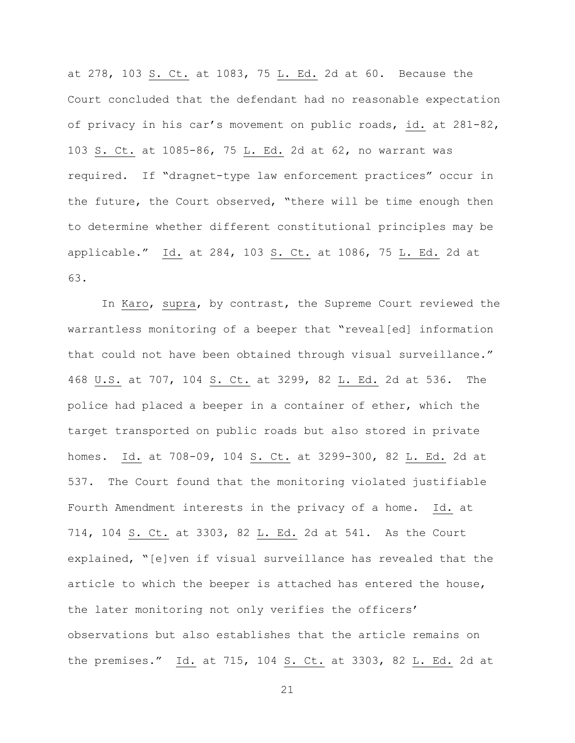at 278, 103 S. Ct. at 1083, 75 L. Ed. 2d at 60. Because the Court concluded that the defendant had no reasonable expectation of privacy in his car's movement on public roads, id. at 281-82, 103 S. Ct. at 1085-86, 75 L. Ed. 2d at 62, no warrant was required. If "dragnet-type law enforcement practices" occur in the future, the Court observed, "there will be time enough then to determine whether different constitutional principles may be applicable." Id. at 284, 103 S. Ct. at 1086, 75 L. Ed. 2d at 63.

In Karo, supra, by contrast, the Supreme Court reviewed the warrantless monitoring of a beeper that "reveal[ed] information that could not have been obtained through visual surveillance." 468 U.S. at 707, 104 S. Ct. at 3299, 82 L. Ed. 2d at 536. The police had placed a beeper in a container of ether, which the target transported on public roads but also stored in private homes. Id. at 708-09, 104 S. Ct. at 3299-300, 82 L. Ed. 2d at 537. The Court found that the monitoring violated justifiable Fourth Amendment interests in the privacy of a home. Id. at 714, 104 S. Ct. at 3303, 82 L. Ed. 2d at 541. As the Court explained, "[e]ven if visual surveillance has revealed that the article to which the beeper is attached has entered the house, the later monitoring not only verifies the officers' observations but also establishes that the article remains on the premises." Id. at 715, 104 S. Ct. at 3303, 82 L. Ed. 2d at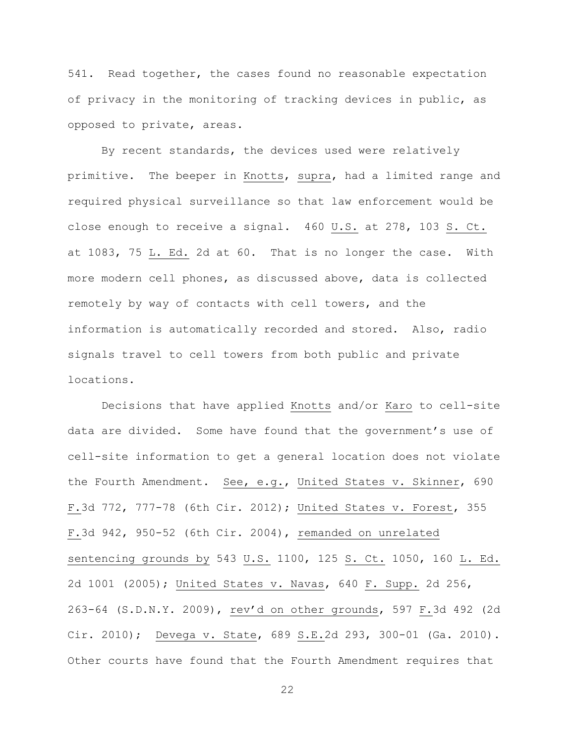541. Read together, the cases found no reasonable expectation of privacy in the monitoring of tracking devices in public, as opposed to private, areas.

By recent standards, the devices used were relatively primitive. The beeper in Knotts, supra, had a limited range and required physical surveillance so that law enforcement would be close enough to receive a signal. 460 U.S. at 278, 103 S. Ct. at 1083, 75 L. Ed. 2d at 60. That is no longer the case. With more modern cell phones, as discussed above, data is collected remotely by way of contacts with cell towers, and the information is automatically recorded and stored. Also, radio signals travel to cell towers from both public and private locations.

Decisions that have applied Knotts and/or Karo to cell-site data are divided. Some have found that the government's use of cell-site information to get a general location does not violate the Fourth Amendment. See, e.g., United States v. Skinner, 690 F.3d 772, 777-78 (6th Cir. 2012); United States v. Forest, 355 F.3d 942, 950-52 (6th Cir. 2004), remanded on unrelated sentencing grounds by 543 U.S. 1100, 125 S. Ct. 1050, 160 L. Ed. 2d 1001 (2005); United States v. Navas, 640 F. Supp. 2d 256, 263-64 (S.D.N.Y. 2009), rev'd on other grounds, 597 F.3d 492 (2d Cir. 2010); Devega v. State, 689 S.E.2d 293, 300-01 (Ga. 2010). Other courts have found that the Fourth Amendment requires that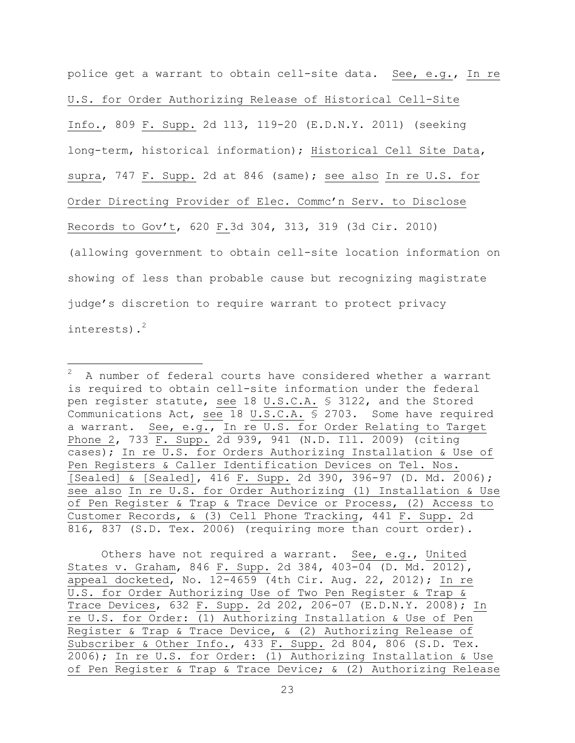police get a warrant to obtain cell-site data. See, e.g., In re U.S. for Order Authorizing Release of Historical Cell-Site Info., 809 F. Supp. 2d 113, 119-20 (E.D.N.Y. 2011) (seeking long-term, historical information); Historical Cell Site Data, supra, 747 F. Supp. 2d at 846 (same); see also In re U.S. for Order Directing Provider of Elec. Commc'n Serv. to Disclose Records to Gov't, 620 F.3d 304, 313, 319 (3d Cir. 2010) (allowing government to obtain cell-site location information on showing of less than probable cause but recognizing magistrate judge's discretion to require warrant to protect privacy interests).<sup>2</sup>

 $\overline{a}$ 

Others have not required a warrant. See, e.g., United States v. Graham, 846 F. Supp. 2d 384, 403-04 (D. Md. 2012), appeal docketed, No. 12-4659 (4th Cir. Aug. 22, 2012); In re U.S. for Order Authorizing Use of Two Pen Register & Trap & Trace Devices, 632 F. Supp. 2d 202, 206-07 (E.D.N.Y. 2008); In re U.S. for Order: (1) Authorizing Installation & Use of Pen Register & Trap & Trace Device, & (2) Authorizing Release of Subscriber & Other Info., 433 F. Supp. 2d 804, 806 (S.D. Tex. 2006); In re U.S. for Order: (1) Authorizing Installation & Use of Pen Register & Trap & Trace Device; & (2) Authorizing Release

<sup>2</sup> A number of federal courts have considered whether a warrant is required to obtain cell-site information under the federal pen register statute, see 18 U.S.C.A. § 3122, and the Stored Communications Act, see 18 U.S.C.A. § 2703. Some have required a warrant. See, e.g., In re U.S. for Order Relating to Target Phone 2, 733 F. Supp. 2d 939, 941 (N.D. Ill. 2009) (citing cases); In re U.S. for Orders Authorizing Installation & Use of Pen Registers & Caller Identification Devices on Tel. Nos. [Sealed] & [Sealed], 416 F. Supp. 2d 390, 396-97 (D. Md. 2006); see also In re U.S. for Order Authorizing (1) Installation & Use of Pen Register & Trap & Trace Device or Process, (2) Access to Customer Records, & (3) Cell Phone Tracking, 441 F. Supp. 2d 816, 837 (S.D. Tex. 2006) (requiring more than court order).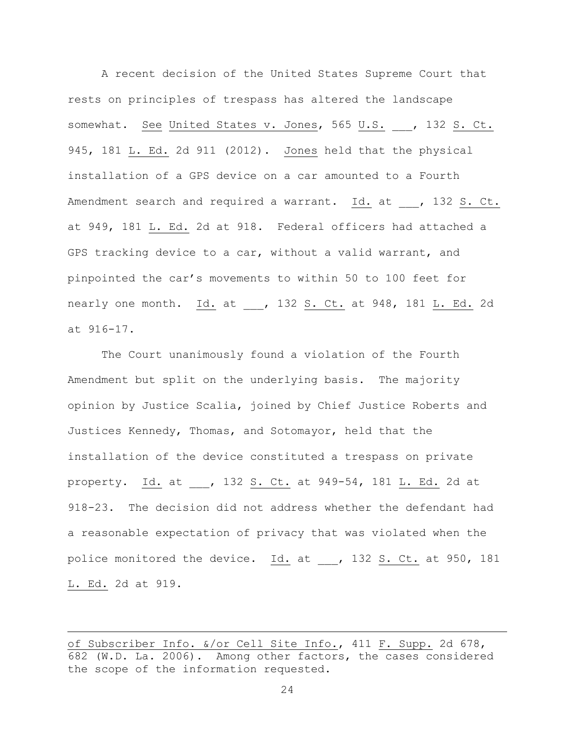A recent decision of the United States Supreme Court that rests on principles of trespass has altered the landscape somewhat. See United States v. Jones, 565 U.S. , 132 S. Ct. 945, 181 L. Ed. 2d 911 (2012). Jones held that the physical installation of a GPS device on a car amounted to a Fourth Amendment search and required a warrant. Id. at , 132 S. Ct. at 949, 181 L. Ed. 2d at 918. Federal officers had attached a GPS tracking device to a car, without a valid warrant, and pinpointed the car's movements to within 50 to 100 feet for nearly one month. Id. at \_\_\_, 132 S. Ct. at 948, 181 L. Ed. 2d at 916-17.

The Court unanimously found a violation of the Fourth Amendment but split on the underlying basis. The majority opinion by Justice Scalia, joined by Chief Justice Roberts and Justices Kennedy, Thomas, and Sotomayor, held that the installation of the device constituted a trespass on private property. Id. at \_\_\_, 132 S. Ct. at 949-54, 181 L. Ed. 2d at 918-23. The decision did not address whether the defendant had a reasonable expectation of privacy that was violated when the police monitored the device. Id. at \_\_\_, 132 S. Ct. at 950, 181 L. Ed. 2d at 919.

 $\overline{a}$ 

of Subscriber Info. &/or Cell Site Info., 411 F. Supp. 2d 678, 682 (W.D. La. 2006). Among other factors, the cases considered the scope of the information requested.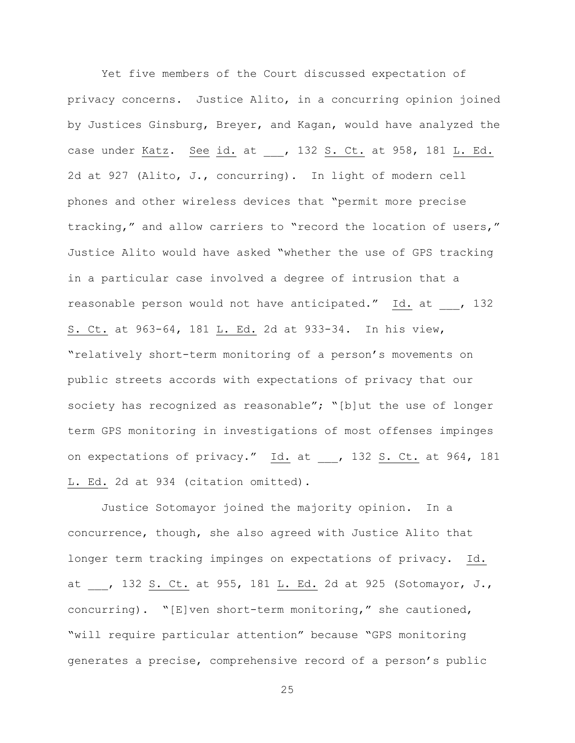Yet five members of the Court discussed expectation of privacy concerns. Justice Alito, in a concurring opinion joined by Justices Ginsburg, Breyer, and Kagan, would have analyzed the case under Katz. See id. at \_\_\_, 132 S. Ct. at 958, 181 L. Ed. 2d at 927 (Alito, J., concurring). In light of modern cell phones and other wireless devices that "permit more precise tracking," and allow carriers to "record the location of users," Justice Alito would have asked "whether the use of GPS tracking in a particular case involved a degree of intrusion that a reasonable person would not have anticipated." Id. at , 132 S. Ct. at 963-64, 181 L. Ed. 2d at 933-34. In his view, "relatively short-term monitoring of a person's movements on public streets accords with expectations of privacy that our society has recognized as reasonable"; "[b]ut the use of longer term GPS monitoring in investigations of most offenses impinges on expectations of privacy." Id. at \_\_\_, 132 S. Ct. at 964, 181 L. Ed. 2d at 934 (citation omitted).

Justice Sotomayor joined the majority opinion. In a concurrence, though, she also agreed with Justice Alito that longer term tracking impinges on expectations of privacy. Id. at , 132 S. Ct. at 955, 181 L. Ed. 2d at 925 (Sotomayor, J., concurring). "[E]ven short-term monitoring," she cautioned, "will require particular attention" because "GPS monitoring generates a precise, comprehensive record of a person's public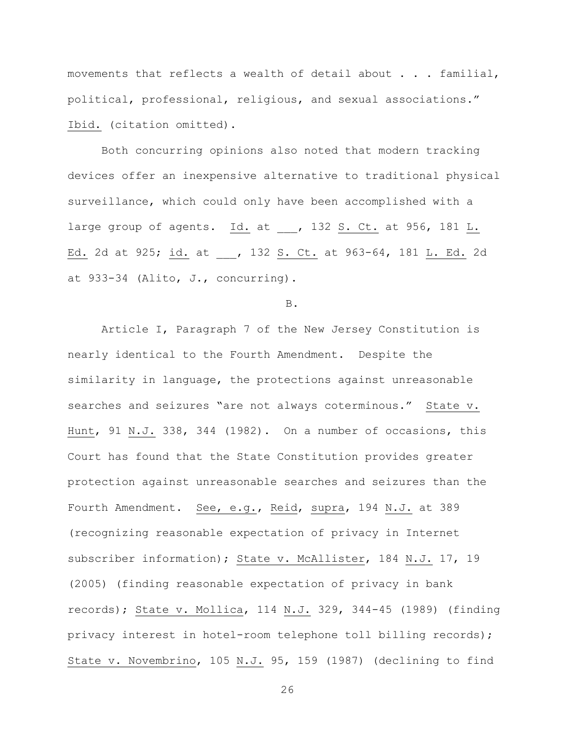movements that reflects a wealth of detail about . . . familial, political, professional, religious, and sexual associations." Ibid. (citation omitted).

Both concurring opinions also noted that modern tracking devices offer an inexpensive alternative to traditional physical surveillance, which could only have been accomplished with a large group of agents. Id. at , 132 S. Ct. at 956, 181 L. Ed. 2d at 925; id. at , 132 S. Ct. at 963-64, 181 L. Ed. 2d at 933-34 (Alito, J., concurring).

B.

Article I, Paragraph 7 of the New Jersey Constitution is nearly identical to the Fourth Amendment. Despite the similarity in language, the protections against unreasonable searches and seizures "are not always coterminous." State v. Hunt, 91 N.J. 338, 344 (1982). On a number of occasions, this Court has found that the State Constitution provides greater protection against unreasonable searches and seizures than the Fourth Amendment. See, e.g., Reid, supra, 194 N.J. at 389 (recognizing reasonable expectation of privacy in Internet subscriber information); State v. McAllister, 184 N.J. 17, 19 (2005) (finding reasonable expectation of privacy in bank records); State v. Mollica, 114 N.J. 329, 344-45 (1989) (finding privacy interest in hotel-room telephone toll billing records); State v. Novembrino, 105 N.J. 95, 159 (1987) (declining to find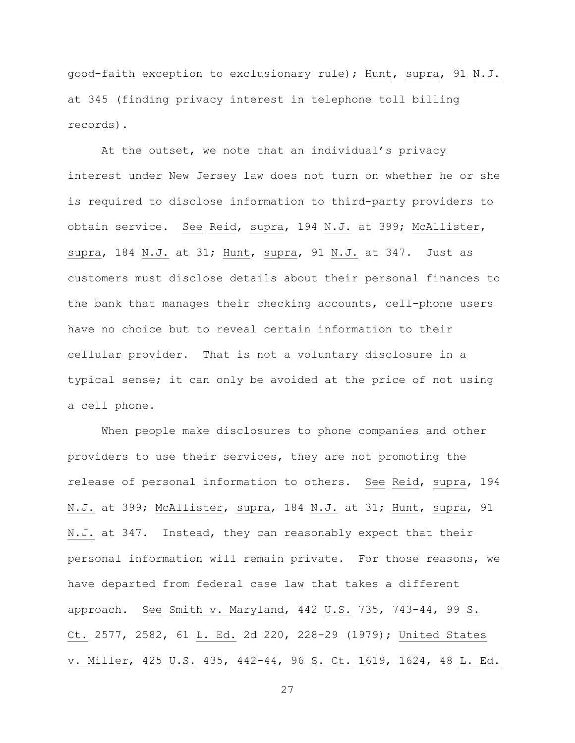good-faith exception to exclusionary rule); Hunt, supra, 91 N.J. at 345 (finding privacy interest in telephone toll billing records).

At the outset, we note that an individual's privacy interest under New Jersey law does not turn on whether he or she is required to disclose information to third-party providers to obtain service. See Reid, supra, 194 N.J. at 399; McAllister, supra, 184 N.J. at 31; Hunt, supra, 91 N.J. at 347. Just as customers must disclose details about their personal finances to the bank that manages their checking accounts, cell-phone users have no choice but to reveal certain information to their cellular provider. That is not a voluntary disclosure in a typical sense; it can only be avoided at the price of not using a cell phone.

When people make disclosures to phone companies and other providers to use their services, they are not promoting the release of personal information to others. See Reid, supra, 194 N.J. at 399; McAllister, supra, 184 N.J. at 31; Hunt, supra, 91 N.J. at 347. Instead, they can reasonably expect that their personal information will remain private. For those reasons, we have departed from federal case law that takes a different approach. See Smith v. Maryland, 442 U.S. 735, 743-44, 99 S. Ct. 2577, 2582, 61 L. Ed. 2d 220, 228-29 (1979); United States v. Miller, 425 U.S. 435, 442-44, 96 S. Ct. 1619, 1624, 48 L. Ed.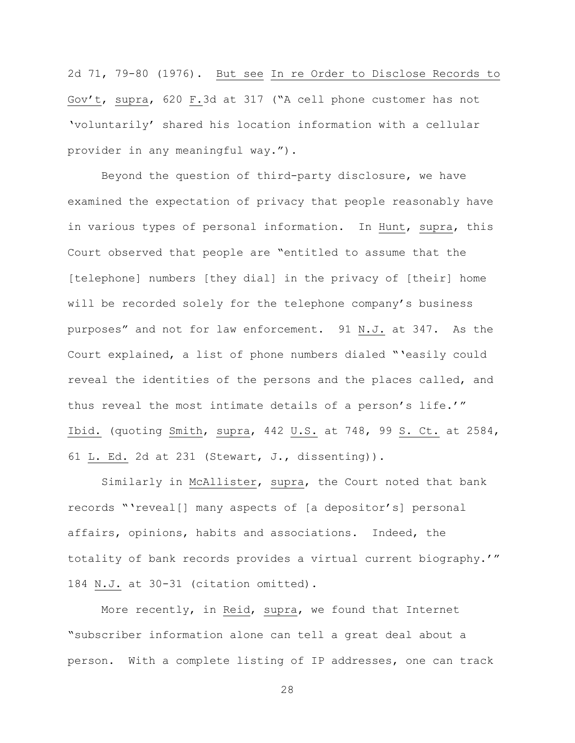2d 71, 79-80 (1976). But see In re Order to Disclose Records to Gov't, supra, 620 F.3d at 317 ("A cell phone customer has not 'voluntarily' shared his location information with a cellular provider in any meaningful way.").

Beyond the question of third-party disclosure, we have examined the expectation of privacy that people reasonably have in various types of personal information. In Hunt, supra, this Court observed that people are "entitled to assume that the [telephone] numbers [they dial] in the privacy of [their] home will be recorded solely for the telephone company's business purposes" and not for law enforcement. 91 N.J. at 347. As the Court explained, a list of phone numbers dialed "'easily could reveal the identities of the persons and the places called, and thus reveal the most intimate details of a person's life.'" Ibid. (quoting Smith, supra, 442 U.S. at 748, 99 S. Ct. at 2584, 61 L. Ed. 2d at 231 (Stewart, J., dissenting)).

Similarly in McAllister, supra, the Court noted that bank records "'reveal[] many aspects of [a depositor's] personal affairs, opinions, habits and associations. Indeed, the totality of bank records provides a virtual current biography.'" 184 N.J. at 30-31 (citation omitted).

More recently, in Reid, supra, we found that Internet "subscriber information alone can tell a great deal about a person. With a complete listing of IP addresses, one can track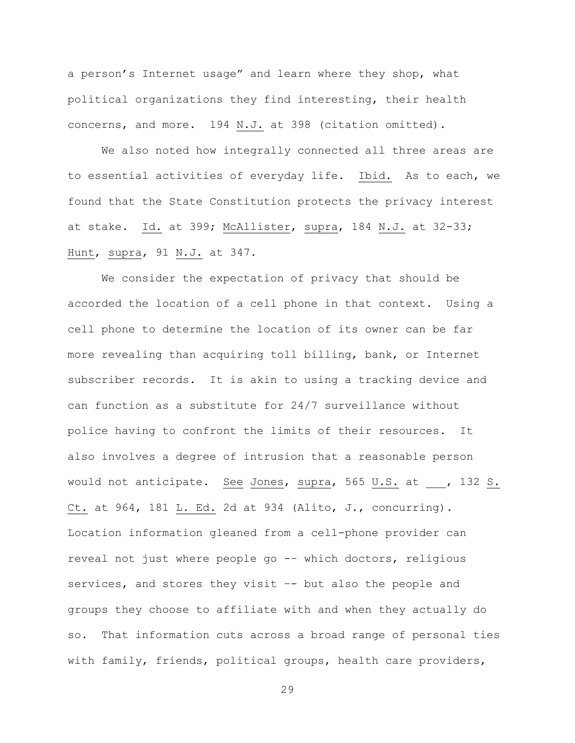a person's Internet usage" and learn where they shop, what political organizations they find interesting, their health concerns, and more. 194 N.J. at 398 (citation omitted).

We also noted how integrally connected all three areas are to essential activities of everyday life. Ibid. As to each, we found that the State Constitution protects the privacy interest at stake. Id. at 399; McAllister, supra, 184 N.J. at 32-33; Hunt, supra, 91 N.J. at 347.

We consider the expectation of privacy that should be accorded the location of a cell phone in that context. Using a cell phone to determine the location of its owner can be far more revealing than acquiring toll billing, bank, or Internet subscriber records. It is akin to using a tracking device and can function as a substitute for 24/7 surveillance without police having to confront the limits of their resources. It also involves a degree of intrusion that a reasonable person would not anticipate. See Jones, supra, 565 U.S. at , 132 S. Ct. at 964, 181 L. Ed. 2d at 934 (Alito, J., concurring). Location information gleaned from a cell-phone provider can reveal not just where people go -– which doctors, religious services, and stores they visit -- but also the people and groups they choose to affiliate with and when they actually do so. That information cuts across a broad range of personal ties with family, friends, political groups, health care providers,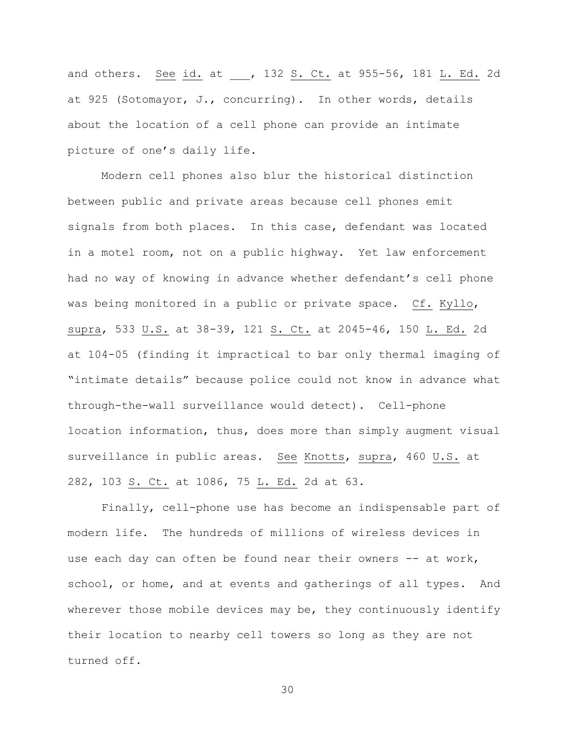and others. See id. at , 132 S. Ct. at 955-56, 181 L. Ed. 2d at 925 (Sotomayor, J., concurring). In other words, details about the location of a cell phone can provide an intimate picture of one's daily life.

Modern cell phones also blur the historical distinction between public and private areas because cell phones emit signals from both places. In this case, defendant was located in a motel room, not on a public highway. Yet law enforcement had no way of knowing in advance whether defendant's cell phone was being monitored in a public or private space. Cf. Kyllo, supra, 533 U.S. at 38-39, 121 S. Ct. at 2045-46, 150 L. Ed. 2d at 104-05 (finding it impractical to bar only thermal imaging of "intimate details" because police could not know in advance what through-the-wall surveillance would detect). Cell-phone location information, thus, does more than simply augment visual surveillance in public areas. See Knotts, supra, 460 U.S. at 282, 103 S. Ct. at 1086, 75 L. Ed. 2d at 63.

Finally, cell-phone use has become an indispensable part of modern life. The hundreds of millions of wireless devices in use each day can often be found near their owners -- at work, school, or home, and at events and gatherings of all types. And wherever those mobile devices may be, they continuously identify their location to nearby cell towers so long as they are not turned off.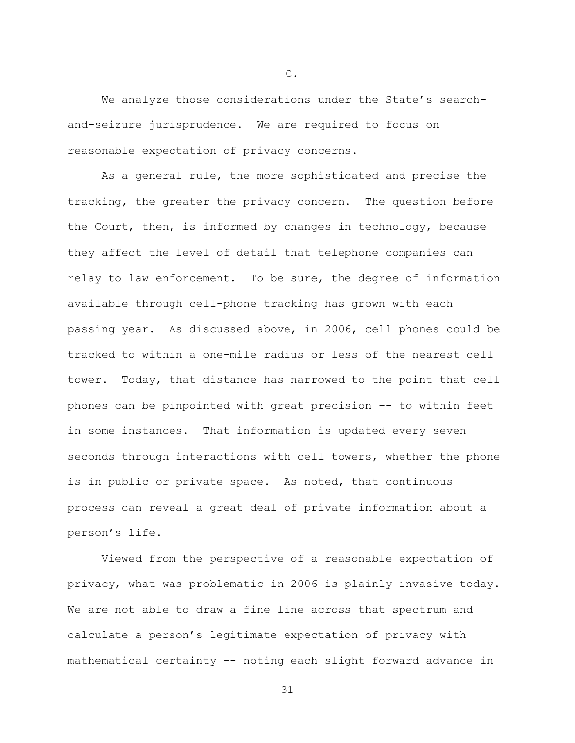We analyze those considerations under the State's searchand-seizure jurisprudence. We are required to focus on reasonable expectation of privacy concerns.

As a general rule, the more sophisticated and precise the tracking, the greater the privacy concern. The question before the Court, then, is informed by changes in technology, because they affect the level of detail that telephone companies can relay to law enforcement. To be sure, the degree of information available through cell-phone tracking has grown with each passing year. As discussed above, in 2006, cell phones could be tracked to within a one-mile radius or less of the nearest cell tower. Today, that distance has narrowed to the point that cell phones can be pinpointed with great precision –- to within feet in some instances. That information is updated every seven seconds through interactions with cell towers, whether the phone is in public or private space. As noted, that continuous process can reveal a great deal of private information about a person's life.

Viewed from the perspective of a reasonable expectation of privacy, what was problematic in 2006 is plainly invasive today. We are not able to draw a fine line across that spectrum and calculate a person's legitimate expectation of privacy with mathematical certainty –- noting each slight forward advance in

C.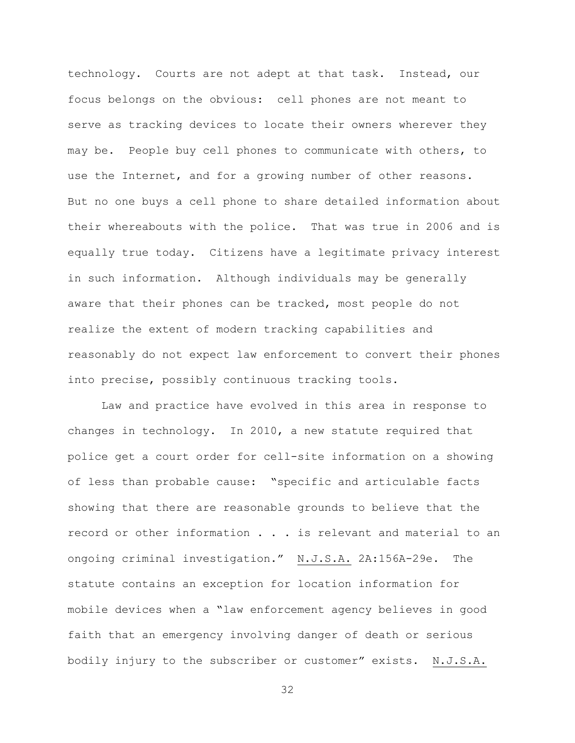technology. Courts are not adept at that task. Instead, our focus belongs on the obvious: cell phones are not meant to serve as tracking devices to locate their owners wherever they may be. People buy cell phones to communicate with others, to use the Internet, and for a growing number of other reasons. But no one buys a cell phone to share detailed information about their whereabouts with the police. That was true in 2006 and is equally true today. Citizens have a legitimate privacy interest in such information. Although individuals may be generally aware that their phones can be tracked, most people do not realize the extent of modern tracking capabilities and reasonably do not expect law enforcement to convert their phones into precise, possibly continuous tracking tools.

Law and practice have evolved in this area in response to changes in technology. In 2010, a new statute required that police get a court order for cell-site information on a showing of less than probable cause: "specific and articulable facts showing that there are reasonable grounds to believe that the record or other information . . . is relevant and material to an ongoing criminal investigation." N.J.S.A. 2A:156A-29e. The statute contains an exception for location information for mobile devices when a "law enforcement agency believes in good faith that an emergency involving danger of death or serious bodily injury to the subscriber or customer" exists. N.J.S.A.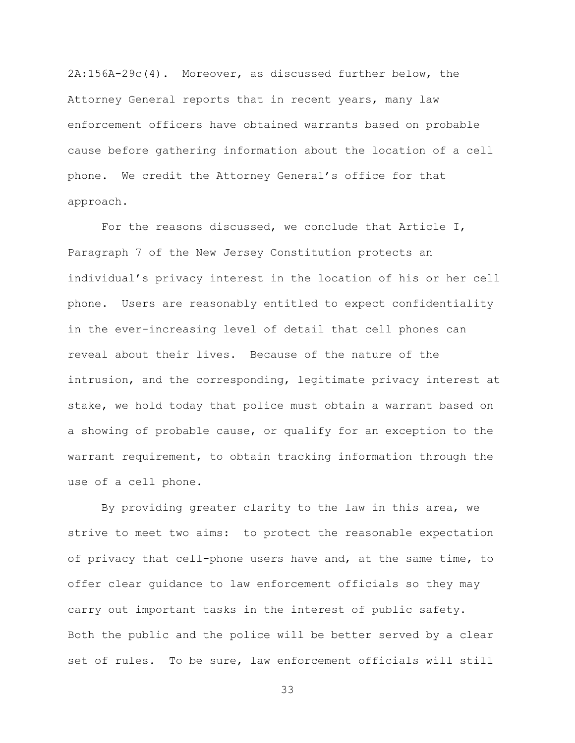2A:156A-29c(4). Moreover, as discussed further below, the Attorney General reports that in recent years, many law enforcement officers have obtained warrants based on probable cause before gathering information about the location of a cell phone. We credit the Attorney General's office for that approach.

For the reasons discussed, we conclude that Article I, Paragraph 7 of the New Jersey Constitution protects an individual's privacy interest in the location of his or her cell phone. Users are reasonably entitled to expect confidentiality in the ever-increasing level of detail that cell phones can reveal about their lives. Because of the nature of the intrusion, and the corresponding, legitimate privacy interest at stake, we hold today that police must obtain a warrant based on a showing of probable cause, or qualify for an exception to the warrant requirement, to obtain tracking information through the use of a cell phone.

By providing greater clarity to the law in this area, we strive to meet two aims: to protect the reasonable expectation of privacy that cell-phone users have and, at the same time, to offer clear guidance to law enforcement officials so they may carry out important tasks in the interest of public safety. Both the public and the police will be better served by a clear set of rules. To be sure, law enforcement officials will still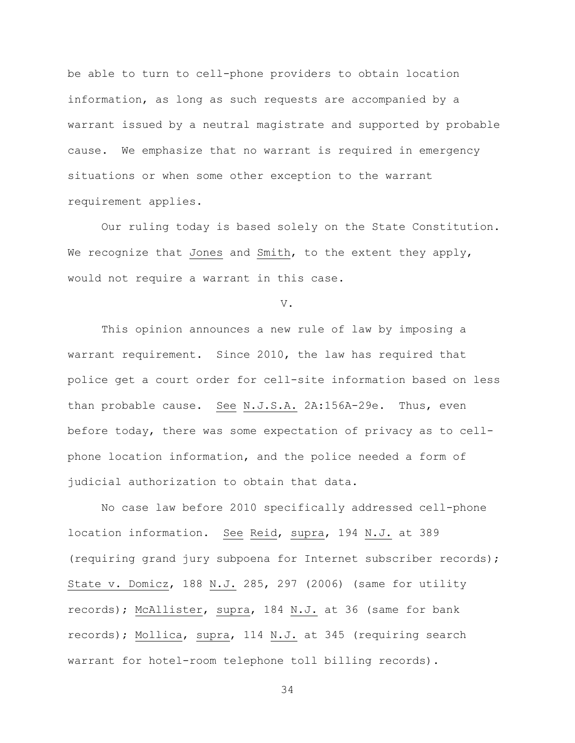be able to turn to cell-phone providers to obtain location information, as long as such requests are accompanied by a warrant issued by a neutral magistrate and supported by probable cause. We emphasize that no warrant is required in emergency situations or when some other exception to the warrant requirement applies.

Our ruling today is based solely on the State Constitution. We recognize that Jones and Smith, to the extent they apply, would not require a warrant in this case.

V.

This opinion announces a new rule of law by imposing a warrant requirement. Since 2010, the law has required that police get a court order for cell-site information based on less than probable cause. See N.J.S.A. 2A:156A-29e. Thus, even before today, there was some expectation of privacy as to cellphone location information, and the police needed a form of judicial authorization to obtain that data.

No case law before 2010 specifically addressed cell-phone location information. See Reid, supra, 194 N.J. at 389 (requiring grand jury subpoena for Internet subscriber records); State v. Domicz, 188 N.J. 285, 297 (2006) (same for utility records); McAllister, supra, 184 N.J. at 36 (same for bank records); Mollica, supra, 114 N.J. at 345 (requiring search warrant for hotel-room telephone toll billing records).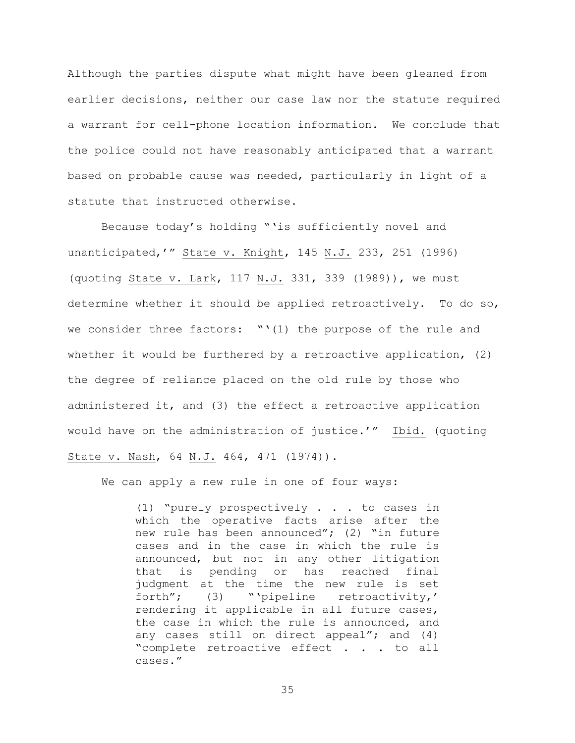Although the parties dispute what might have been gleaned from earlier decisions, neither our case law nor the statute required a warrant for cell-phone location information. We conclude that the police could not have reasonably anticipated that a warrant based on probable cause was needed, particularly in light of a statute that instructed otherwise.

Because today's holding "'is sufficiently novel and unanticipated,'" State v. Knight, 145 N.J. 233, 251 (1996) (quoting State v. Lark, 117 N.J. 331, 339 (1989)), we must determine whether it should be applied retroactively. To do so, we consider three factors:  $``(1)$  the purpose of the rule and whether it would be furthered by a retroactive application, (2) the degree of reliance placed on the old rule by those who administered it, and (3) the effect a retroactive application would have on the administration of justice.'" Ibid. (quoting State v. Nash, 64 N.J. 464, 471 (1974)).

We can apply a new rule in one of four ways:

(1) "purely prospectively . . . to cases in which the operative facts arise after the new rule has been announced"; (2) "in future cases and in the case in which the rule is announced, but not in any other litigation that is pending or has reached final judgment at the time the new rule is set forth"; (3) "'pipeline retroactivity,' rendering it applicable in all future cases, the case in which the rule is announced, and any cases still on direct appeal"; and (4) "complete retroactive effect . . . to all cases."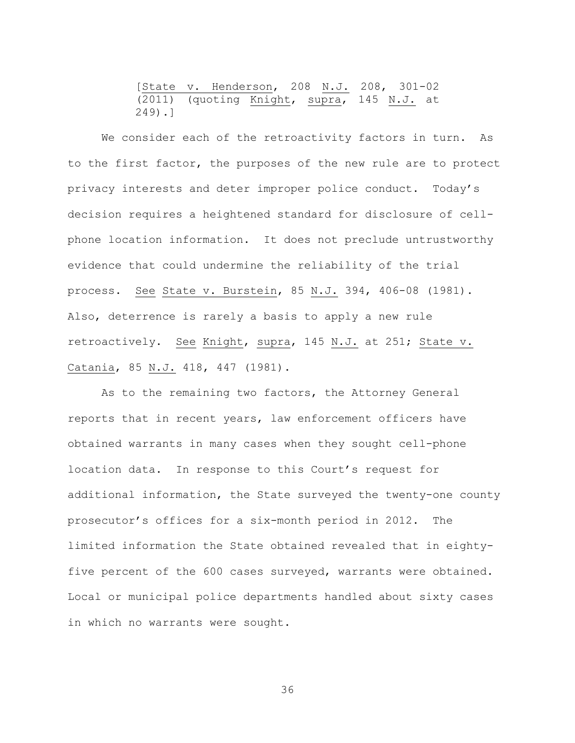[State v. Henderson, 208 N.J. 208, 301-02 (2011) (quoting Knight, supra, 145 N.J. at 249).]

We consider each of the retroactivity factors in turn. As to the first factor, the purposes of the new rule are to protect privacy interests and deter improper police conduct. Today's decision requires a heightened standard for disclosure of cellphone location information. It does not preclude untrustworthy evidence that could undermine the reliability of the trial process. See State v. Burstein, 85 N.J. 394, 406-08 (1981). Also, deterrence is rarely a basis to apply a new rule retroactively. See Knight, supra, 145 N.J. at 251; State v. Catania, 85 N.J. 418, 447 (1981).

As to the remaining two factors, the Attorney General reports that in recent years, law enforcement officers have obtained warrants in many cases when they sought cell-phone location data. In response to this Court's request for additional information, the State surveyed the twenty-one county prosecutor's offices for a six-month period in 2012. The limited information the State obtained revealed that in eightyfive percent of the 600 cases surveyed, warrants were obtained. Local or municipal police departments handled about sixty cases in which no warrants were sought.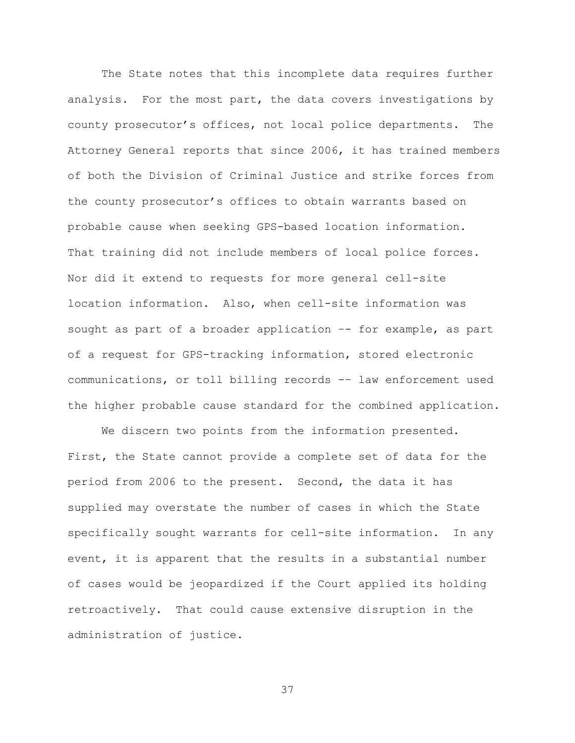The State notes that this incomplete data requires further analysis. For the most part, the data covers investigations by county prosecutor's offices, not local police departments. The Attorney General reports that since 2006, it has trained members of both the Division of Criminal Justice and strike forces from the county prosecutor's offices to obtain warrants based on probable cause when seeking GPS-based location information. That training did not include members of local police forces. Nor did it extend to requests for more general cell-site location information. Also, when cell-site information was sought as part of a broader application -- for example, as part of a request for GPS-tracking information, stored electronic communications, or toll billing records -– law enforcement used the higher probable cause standard for the combined application.

We discern two points from the information presented. First, the State cannot provide a complete set of data for the period from 2006 to the present. Second, the data it has supplied may overstate the number of cases in which the State specifically sought warrants for cell-site information. In any event, it is apparent that the results in a substantial number of cases would be jeopardized if the Court applied its holding retroactively. That could cause extensive disruption in the administration of justice.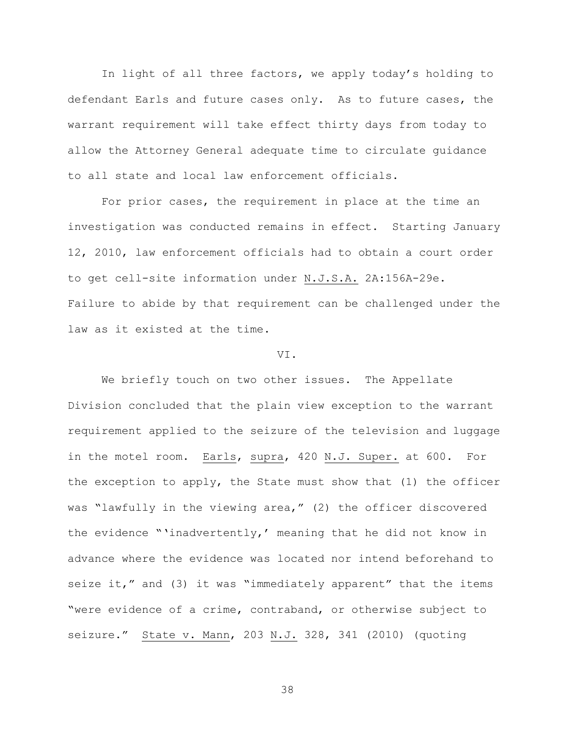In light of all three factors, we apply today's holding to defendant Earls and future cases only. As to future cases, the warrant requirement will take effect thirty days from today to allow the Attorney General adequate time to circulate guidance to all state and local law enforcement officials.

For prior cases, the requirement in place at the time an investigation was conducted remains in effect. Starting January 12, 2010, law enforcement officials had to obtain a court order to get cell-site information under N.J.S.A. 2A:156A-29e. Failure to abide by that requirement can be challenged under the law as it existed at the time.

## VI.

We briefly touch on two other issues. The Appellate Division concluded that the plain view exception to the warrant requirement applied to the seizure of the television and luggage in the motel room. Earls, supra, 420 N.J. Super. at 600. For the exception to apply, the State must show that (1) the officer was "lawfully in the viewing area," (2) the officer discovered the evidence "'inadvertently,' meaning that he did not know in advance where the evidence was located nor intend beforehand to seize it," and (3) it was "immediately apparent" that the items "were evidence of a crime, contraband, or otherwise subject to seizure." State v. Mann, 203 N.J. 328, 341 (2010) (quoting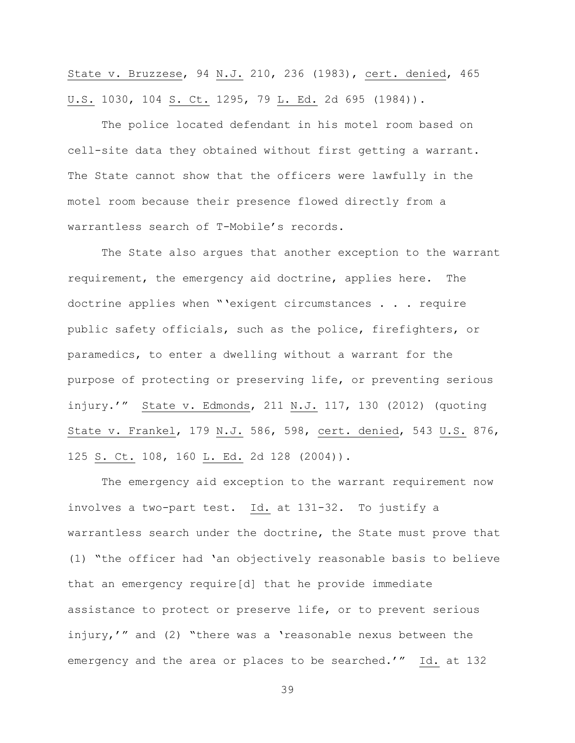State v. Bruzzese, 94 N.J. 210, 236 (1983), cert. denied, 465 U.S. 1030, 104 S. Ct. 1295, 79 L. Ed. 2d 695 (1984)).

The police located defendant in his motel room based on cell-site data they obtained without first getting a warrant. The State cannot show that the officers were lawfully in the motel room because their presence flowed directly from a warrantless search of T-Mobile's records.

The State also argues that another exception to the warrant requirement, the emergency aid doctrine, applies here. The doctrine applies when "'exigent circumstances . . . require public safety officials, such as the police, firefighters, or paramedics, to enter a dwelling without a warrant for the purpose of protecting or preserving life, or preventing serious injury.'" State v. Edmonds, 211 N.J. 117, 130 (2012) (quoting State v. Frankel, 179 N.J. 586, 598, cert. denied, 543 U.S. 876, 125 S. Ct. 108, 160 L. Ed. 2d 128 (2004)).

The emergency aid exception to the warrant requirement now involves a two-part test. Id. at 131-32. To justify a warrantless search under the doctrine, the State must prove that (1) "the officer had 'an objectively reasonable basis to believe that an emergency require[d] that he provide immediate assistance to protect or preserve life, or to prevent serious injury,'" and (2) "there was a 'reasonable nexus between the emergency and the area or places to be searched.'" Id. at 132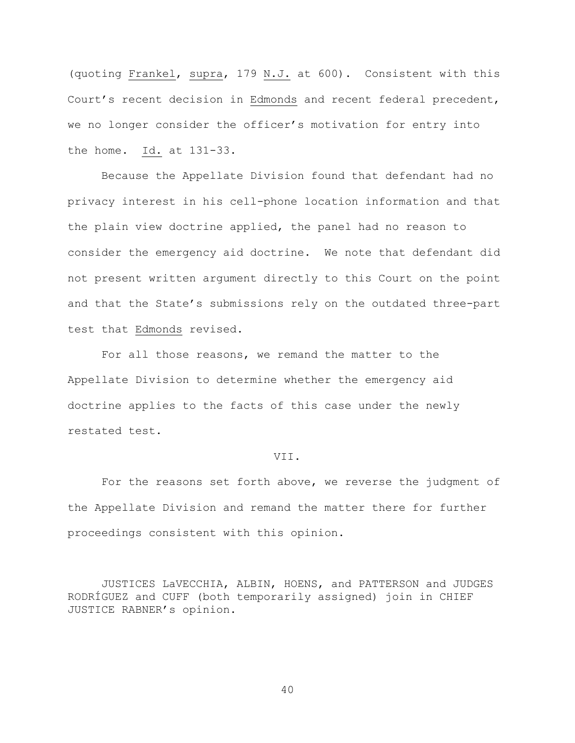(quoting Frankel, supra, 179 N.J. at 600). Consistent with this Court's recent decision in Edmonds and recent federal precedent, we no longer consider the officer's motivation for entry into the home. Id. at 131-33.

Because the Appellate Division found that defendant had no privacy interest in his cell-phone location information and that the plain view doctrine applied, the panel had no reason to consider the emergency aid doctrine. We note that defendant did not present written argument directly to this Court on the point and that the State's submissions rely on the outdated three-part test that Edmonds revised.

For all those reasons, we remand the matter to the Appellate Division to determine whether the emergency aid doctrine applies to the facts of this case under the newly restated test.

#### VII.

For the reasons set forth above, we reverse the judgment of the Appellate Division and remand the matter there for further proceedings consistent with this opinion.

JUSTICES LaVECCHIA, ALBIN, HOENS, and PATTERSON and JUDGES RODRÍGUEZ and CUFF (both temporarily assigned) join in CHIEF JUSTICE RABNER's opinion.